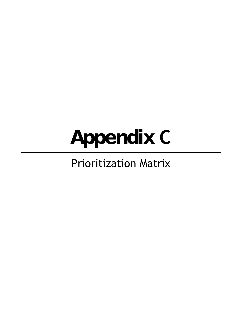# **Appendix C**

# Prioritization Matrix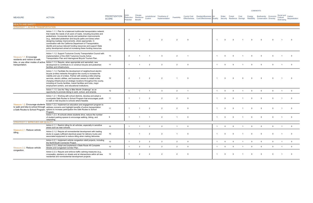| <b>MEASURE</b>                                                | <b>ACTION</b>                                                                                                                                                                                                                                                                                                                                                                                                                                                                                                                                  | <b>PRIORITIZATION</b><br><b>SCORE</b> | GHG.<br>Reduction<br>Potential | Climate<br>Resilience<br><b>Benefit</b> | Jurisdictional<br>Control | Timeframe of<br>Implementation | Feasibility    | <b>County Cost</b> | Resident/Business Air<br>Effectiveness Cost Effectiveness Quality |                | Water        | Forest      | Cost           | Energy         | Biodiversity Economic<br>Security Resilience Savings Reliability Conservation Diversity |                | Social and Carbon<br>Cultural<br>Well-being | Sequestration  |
|---------------------------------------------------------------|------------------------------------------------------------------------------------------------------------------------------------------------------------------------------------------------------------------------------------------------------------------------------------------------------------------------------------------------------------------------------------------------------------------------------------------------------------------------------------------------------------------------------------------------|---------------------------------------|--------------------------------|-----------------------------------------|---------------------------|--------------------------------|----------------|--------------------|-------------------------------------------------------------------|----------------|--------------|-------------|----------------|----------------|-----------------------------------------------------------------------------------------|----------------|---------------------------------------------|----------------|
| <b>HEALTH AND SAFETY</b><br>STRATEGY 1. ACTIVE TRANSPORTATION |                                                                                                                                                                                                                                                                                                                                                                                                                                                                                                                                                |                                       |                                |                                         |                           |                                |                |                    |                                                                   |                |              |             |                |                |                                                                                         |                |                                             |                |
|                                                               | Action 1.1.1. Plan for a balanced multimodal transportation network<br>that meets the needs of all users of roads, including bicyclists and<br>pedestrians. Incorporate bicycle and pedestrian improvements<br>(e.g., dedicated pedestrian and bicycle paths and lanes) when<br>designing roadway improvements, where appropriate. In<br>coordination with the California Department of Transportation,<br>identify and pursue relevant funding resources and support State<br>policy development aimed at increasing these funding resources. | 12                                    | 2                              |                                         | $\overline{2}$            |                                | $\overline{2}$ | $\Omega$           |                                                                   |                |              |             |                |                |                                                                                         |                |                                             |                |
| Measure 1.1: E ncourage<br>residents and visitors to walk.    | Action 1.1.2. Support Tuolumne County Transportation Council with<br>implementation of the 2020 Tuolumne County Active<br>Transportation Plan and Interregional Bicycle Tourism Plan.                                                                                                                                                                                                                                                                                                                                                          | 13                                    | $\overline{2}$                 |                                         |                           | -3                             | $\overline{2}$ |                    |                                                                   |                |              |             |                | $\Omega$       | $\Omega$                                                                                | $\Omega$       |                                             | $\Omega$       |
| bike, or use other modes of active<br>transportation.         | Action 1.1.3. Require, when appropriate and warranted, new<br>development to contribute to or construct bicycle and pedestrian<br>facilities and infrastructure.                                                                                                                                                                                                                                                                                                                                                                               | 11                                    | $\overline{1}$                 |                                         | $\overline{2}$            |                                | 2              | $\Omega$           |                                                                   | $\mathbf 1$    |              |             |                | $\Omega$       | $\Omega$                                                                                | $\Omega$       |                                             | $\Omega$       |
|                                                               | Action 1.1.4. Facilitate the development of neighborhood electric<br>bicycle (e-bike) networks throughout the county to increase the<br>viability and use of e-bikes. Partner with existing e-bike-sharing<br>services, electric utilities, and business owners to install e-bike<br>charging infrastructure at strategic locations throughout the county,<br>including at County facilities, transit facilities and hubs, major<br>employment centers, and educational institutions.                                                          | 10                                    | 2                              |                                         | 2                         | $\overline{2}$                 |                | $\Omega$           |                                                                   |                |              |             |                |                |                                                                                         |                |                                             |                |
|                                                               | Action 1.1.5. Use the "May is Bike Month Challenge" as an<br>opportunity to promote biking to work, school, and errands.                                                                                                                                                                                                                                                                                                                                                                                                                       | 12                                    | $\overline{1}$                 | $\overline{1}$                          |                           | $\mathbf{3}$                   | 2              | $\overline{1}$     |                                                                   | $\overline{1}$ | $\mathbf{0}$ | $\Omega$    | -1             | $\mathbf 0$    | $\mathbf 0$                                                                             | $\mathbf{0}$   | $\overline{1}$                              | $\overline{0}$ |
|                                                               | Action 1.2.1. Working with school districts, develop and adopt a<br>countywide Safe Routes to School Program that encourages youth<br>to walk or ride bicycles to schools where feasible.                                                                                                                                                                                                                                                                                                                                                      | 11                                    | - 1                            |                                         | $\mathcal{P}$             |                                | $\overline{2}$ | $\Omega$           |                                                                   |                |              |             |                | $\Omega$       | $\Omega$                                                                                | $\Omega$       |                                             | $\Omega$       |
|                                                               | Measure 1.2: Encourage students Action 1.2.2. Implement an education and engagement program to<br>to walk and bike to school through address concerns and highlight benefits of active transportation<br>a Safe Routes to School Program. options to increase participation the Safe Routes to School<br>Program.                                                                                                                                                                                                                              | 11                                    | $\overline{1}$                 |                                         | $\overline{2}$            | $\overline{2}$                 | 2              | $\Omega$           |                                                                   |                |              |             |                | $\Omega$       | $\Omega$                                                                                | $\Omega$       |                                             | $\overline{0}$ |
|                                                               | Action 1.2.3. At schools where students drive, reduce the number<br>of student parking spaces to encourage walking, biking, and<br>carpooling.                                                                                                                                                                                                                                                                                                                                                                                                 | 9                                     | $\overline{1}$                 |                                         |                           | 2                              | $\overline{1}$ | $\overline{0}$     |                                                                   | $\mathbf{1}$   |              |             |                | $\Omega$       | $\Omega$                                                                                | $\Omega$       |                                             | $\Omega$       |
| STRATEGY 2. IMPROVED AIR QUALITY                              |                                                                                                                                                                                                                                                                                                                                                                                                                                                                                                                                                |                                       |                                |                                         |                           |                                |                |                    |                                                                   |                |              |             |                |                |                                                                                         |                |                                             |                |
|                                                               | Action 2.1.1. Restrict idling for all vehicles, especially in sensitive<br>areas such as near schools.                                                                                                                                                                                                                                                                                                                                                                                                                                         | 10                                    | - 1                            |                                         | $\overline{2}$            | 2                              | $\overline{1}$ | $\overline{0}$     |                                                                   |                | $\Omega$     |             |                | $\Omega$       | $\Omega$                                                                                | $\Omega$       |                                             | $\Omega$       |
| Measure 2.1: Reduce vehicle<br>idling.                        | Action 2.1.2. Require all nonresidential development with loading<br>docks to supply sufficient electrical power for delivery trucks and<br>associated equipment to reduce idling when making deliveries.                                                                                                                                                                                                                                                                                                                                      | 10                                    | $\overline{1}$                 |                                         | 2                         | $\overline{2}$                 | $\overline{1}$ | $\mathbf 0$        |                                                                   |                |              |             |                | $\overline{0}$ | $\Omega$                                                                                | $\Omega$       |                                             | $\overline{0}$ |
|                                                               | Action 2.2.1. Implement vehicle congestion relief projects, including<br>the North/South Connector Project.                                                                                                                                                                                                                                                                                                                                                                                                                                    | 12                                    | $\overline{1}$                 | $\overline{2}$                          | $\overline{2}$            | $\overline{2}$                 | $\overline{2}$ | $\mathbf 0$        |                                                                   | $\overline{1}$ | $\mathbf 0$  | $\mathbf 0$ | $\overline{1}$ | $\overline{0}$ | $\overline{0}$                                                                          | $\mathbf{0}$   | $\overline{1}$                              | $\mathbf 0$    |
| Measure 2.2: Reduce vehicle                                   | Action 2.2.2. Adopt and implement a State Route 49 Complete<br>Streets and Congested Corridor Plan.                                                                                                                                                                                                                                                                                                                                                                                                                                            | 12                                    | $\overline{1}$                 | $\overline{2}$                          | $\overline{2}$            | $\overline{2}$                 | $2^{\circ}$    | $\mathbf 0$        |                                                                   | $\overline{1}$ | $\mathbf 0$  | $\mathbf 0$ | $\overline{1}$ | $\overline{0}$ | $\overline{0}$                                                                          | $\overline{0}$ | $\overline{1}$                              | $\mathbf 0$    |
| congestion.                                                   | Action 2.2.3. Require and enforce traffic calming measures (e.g.,<br>crosswalks, planters) on streets and at intersections within all new<br>residential and nonresidential development projects.                                                                                                                                                                                                                                                                                                                                              | 12                                    | $\overline{1}$                 | 2                                       | 2                         | $\overline{2}$                 | $\overline{2}$ | $\mathbf 0$        |                                                                   | $\mathbf 1$    | $\Omega$     |             |                | $\Omega$       | $\Omega$                                                                                | $\Omega$       |                                             | $\overline{0}$ |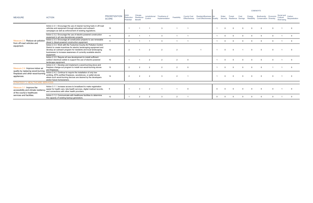|                                                                                                |                                                                                                                                                                                                                                                                                                |                                       |                                      |                                         |                           |                                |                |          |                                                                               |          |       |        |      |                                                   | <b>COBENEFITS</b>                                      |          |                                             |               |
|------------------------------------------------------------------------------------------------|------------------------------------------------------------------------------------------------------------------------------------------------------------------------------------------------------------------------------------------------------------------------------------------------|---------------------------------------|--------------------------------------|-----------------------------------------|---------------------------|--------------------------------|----------------|----------|-------------------------------------------------------------------------------|----------|-------|--------|------|---------------------------------------------------|--------------------------------------------------------|----------|---------------------------------------------|---------------|
| <b>MEASURE</b>                                                                                 | <b>ACTION</b>                                                                                                                                                                                                                                                                                  | <b>PRIORITIZATION</b><br><b>SCORE</b> | <b>GHG</b><br>Reduction<br>Potential | Climate<br>Resilience<br><b>Benefit</b> | Jurisdictional<br>Control | Timeframe of<br>Implementation | Feasibility    |          | County Cost Resident/Business Air<br>Effectiveness Cost Effectiveness Quality |          | Water | Forest | Cost | Energy<br>Security Resilience Savings Reliability | Biodiversity Economic<br><b>Conservation Diversity</b> |          | Social and Carbon<br>Cultural<br>Well-being | Sequestration |
|                                                                                                | Action 2.3.1. Encourage the use of cleaner burning fuels in off-road<br>vehicles and equipment through education and outreach<br>campaigns as well as enforcement of existing regulations.                                                                                                     | 10                                    |                                      |                                         |                           |                                |                |          |                                                                               |          |       |        |      | $\Omega$                                          |                                                        |          |                                             |               |
|                                                                                                | Action 2.3.2. Encourage the use of electric-powered construction<br>equipment in all new discretionary projects.                                                                                                                                                                               | 11                                    | 2                                    |                                         |                           |                                |                |          |                                                                               |          |       |        |      | $\Omega$                                          | $\Omega$                                               | $\Omega$ |                                             | $\Omega$      |
| Measure 2.3: Reduce air pollution<br>from off-road vehicles and                                | Action 2.3.3. Encourage all construction projects to use renewable<br>diesel in diesel-powered construction equipment.                                                                                                                                                                         | 11                                    | 2                                    |                                         |                           |                                |                |          |                                                                               |          |       |        |      | $\Omega$                                          | - 0                                                    |          |                                             | $\cap$        |
| equipment.                                                                                     | Action 2.3.4. Work with the Tuolumne County Air Pollution Control<br>District to create incentives for electric landscaping equipment and<br>develop an outreach program for residents and local landscaping<br>businesses to increase awareness of currently available electric<br>equipment. | 13                                    | $\mathcal{P}$                        |                                         | $\overline{2}$            | $\overline{2}$                 | $\overline{2}$ |          |                                                                               |          |       |        |      | $\Omega$                                          | $\Omega$                                               | $\Omega$ |                                             |               |
|                                                                                                | Action 2.3.5. Require all new development to install sufficient<br>outdoor electrical outlets to support the use of electric-powered<br>landscape equipment.                                                                                                                                   | 10                                    |                                      |                                         | $\overline{2}$            |                                | $\overline{2}$ | $\Omega$ |                                                                               |          |       |        |      | $\Omega$                                          |                                                        | $\Omega$ |                                             | $\cap$        |
| Measure 2.4: Improve indoor air<br>quality by replacing wood-burning                           | Action 2.4.1. Develop and implement a wood-burning stove and<br>fireplace change-out program to install non-wood-burning stoves<br>and fireplaces.                                                                                                                                             | 13                                    | $\mathcal{P}$                        | $\mathcal{P}$                           | $\overline{2}$            |                                | $\mathcal{P}$  | $\Omega$ |                                                                               |          |       |        |      | $\Omega$                                          | $\Omega$                                               |          |                                             | $\Omega$      |
| fireplaces and other wood-burning<br>appliances.                                               | Action 2.4.2. Continue to require the installation of only low-<br>emitting, EPA-certified fireplaces, woodstoves, or pellet stoves<br>where such wood-burning devices are desired by the developers<br>and/or future homeowners.                                                              | 14                                    | 2                                    |                                         | $\overline{2}$            |                                | 2              |          |                                                                               |          |       |        |      |                                                   |                                                        |          |                                             |               |
| <b>STRATEGY 3. HEALTHCARE SERVICES</b>                                                         |                                                                                                                                                                                                                                                                                                |                                       |                                      |                                         |                           |                                |                |          |                                                                               |          |       |        |      |                                                   |                                                        |          |                                             |               |
| Measure 3.1: Improve the<br>accessibility and climate resiliency<br>of the county's healthcare | Action 3.1.1. Increase access to broadband to make registration<br>easier for health care, tele-health services, digital medical records,<br>and connections with other health providers.                                                                                                      | 9                                     |                                      |                                         | $\overline{2}$            |                                |                | $\Omega$ |                                                                               |          |       |        |      | $\Omega$                                          | $\cap$                                                 | $\Omega$ |                                             |               |
| services and facilities.                                                                       | Action 3.1.2. Communicate with healthcare facilities to determine<br>the capacity of existing backup generators.                                                                                                                                                                               | 12                                    |                                      |                                         | $\mathcal{P}$             |                                | 2              |          |                                                                               | $\Omega$ |       |        |      | $\cap$                                            |                                                        | $\Omega$ |                                             |               |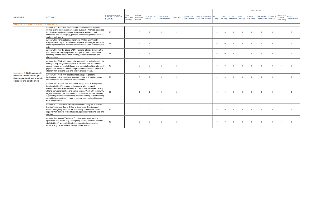| <b>MEASURE</b>                                                                                     | <b>ACTION</b>                                                                                                                                                                                                                                                                                                                                                                                                                                                                                               | <b>PRIORITIZATION</b><br><b>SCORE</b> | ЭHG<br>Reduction<br>Potential | Climate<br>Resilience<br><b>Benefit</b> | Jurisdictional<br>Control | Timeframe of<br>Implementation | Feasibility   |                | County Cost Resident/Business<br>Effectiveness Cost Effectiveness Quality | Air            | Water    | Forest   | Cost     | Energy   | <b>Biodiversity Economic</b><br>Security Resilience Savings Reliability Conservation Diversity |          | Social and Carbon<br>Cultural<br>Well-being | Sequestration |
|----------------------------------------------------------------------------------------------------|-------------------------------------------------------------------------------------------------------------------------------------------------------------------------------------------------------------------------------------------------------------------------------------------------------------------------------------------------------------------------------------------------------------------------------------------------------------------------------------------------------------|---------------------------------------|-------------------------------|-----------------------------------------|---------------------------|--------------------------------|---------------|----------------|---------------------------------------------------------------------------|----------------|----------|----------|----------|----------|------------------------------------------------------------------------------------------------|----------|---------------------------------------------|---------------|
| STRATEGY 4. FIRE-ADAPTED COMMUNITY                                                                 |                                                                                                                                                                                                                                                                                                                                                                                                                                                                                                             |                                       |                               |                                         |                           |                                |               |                |                                                                           |                |          |          |          |          |                                                                                                |          |                                             |               |
|                                                                                                    | Action 4.1.1. Ensure all residents and households are prepared<br>wildfire events through education and outreach. Prioritize resources<br>for disadvantaged communities, low-income residents, and<br>vulnerable populations (e.g., persons experiencing homelessness,<br>seniors, and youth).                                                                                                                                                                                                              | 12                                    |                               | ્વ                                      | $\overline{2}$            | $\overline{2}$                 | $\mathcal{P}$ | $\overline{1}$ |                                                                           | $\Omega$       |          | $\Omega$ | $\Omega$ | $\Omega$ | $\Omega$                                                                                       | $\Omega$ |                                             | $\cap$        |
|                                                                                                    | Action 4.1.2. Participate in and promote Wildfire Community<br>Preparedness Day, a national campaign that encourages people to<br>come together to take action to raise awareness and reduce wildfire<br>risks.                                                                                                                                                                                                                                                                                             | 12 <sup>12</sup>                      |                               | $\mathcal{P}$                           | $\overline{2}$            | -3                             | $\mathcal{P}$ |                |                                                                           | $\Omega$       |          |          |          |          | $\Omega$                                                                                       | $\Omega$ |                                             |               |
|                                                                                                    | Action 4.1.3. Join the Sierra CAMP Regional Climate Collaborative<br>to to learn from regional partners and gain access to information<br>regarding wildfire-related grant funding, scientific research, and<br>planning tools.                                                                                                                                                                                                                                                                             | 14                                    |                               | $\overline{2}$                          | -3                        | -3                             | $\mathcal{P}$ |                |                                                                           | $\Omega$       |          | $\Omega$ |          | $\Omega$ | $\Omega$                                                                                       | $\Omega$ |                                             | - 0           |
| Measure 4.1: Build community                                                                       | Action 4.1.4. Work with community organizations and schools in the<br>county to help mitigate the impacts of extreme heat and wildfire<br>smoke impacts on youth. Educate and train staff working with youth<br>populations on how to detect and prevent health-related impacts in<br>children from extreme heat and wildfire smoke events.                                                                                                                                                                 | 12                                    |                               | $\mathbf{3}$                            | $\overline{2}$            | 2                              | $\mathcal{P}$ | $\overline{1}$ |                                                                           | $\Omega$       |          | $\Omega$ | $\Omega$ | $\Omega$ | $\Omega$                                                                                       | $\Omega$ |                                             | - 0           |
| resilience to wildfire through<br>disaster preparedness education,<br>outreach, and collaboration. | Action 4.1.5. Work with local business groups to prepare<br>businesses for the short- and long-term impacts from disruptions<br>due to extreme heat or wildfire smoke events.                                                                                                                                                                                                                                                                                                                               | 12 <sup>2</sup>                       |                               | $\mathbf{3}$                            | $\overline{2}$            | 2                              | 2             | $\overline{1}$ |                                                                           | $\overline{0}$ | $\Omega$ | $\Omega$ |          |          | $\Omega$                                                                                       | $\Omega$ |                                             | - 0           |
|                                                                                                    | Action 4.1.6. Support the Tuolumne County Office of Emergency<br>Services in identifying areas in the county with increased<br>concentrations of older residents and areas with increased density<br>of long-term care facilities and senior homes. Work with community<br>organizations and the Tuolumne County Health & Human Services<br>Agency to provide additional resources and training to staff working<br>with elderly populations on how to prevent health-related impacts<br>from extreme heat. | 13                                    |                               |                                         |                           |                                |               | $\overline{1}$ |                                                                           | $\Omega$       |          |          |          |          |                                                                                                |          |                                             |               |
|                                                                                                    | Action 4.1.7. Develop an existing assessment program to ensure<br>that the Tuolumne County Office of Emergency Services and<br>related emergency services are adequately prepared for future<br>impacts from climate-related hazards, specifically extreme heat and<br>wildfires.                                                                                                                                                                                                                           | 13                                    |                               | $\mathbf{R}$                            | $\cdot$ 3                 | $\overline{2}$                 | $\mathcal{P}$ | $\overline{1}$ |                                                                           | $\Omega$       |          |          |          |          |                                                                                                | $\Omega$ |                                             | $\cap$        |
|                                                                                                    | Action 4.1.8. Assess Tuolumne County's emergency service<br>operations and assets (e.g., emergency service vehicles, facilities,<br>staff) to identify vulnerabilities to increases in climate-related<br>hazards (e.g., extreme heat, wildfire smoke events).                                                                                                                                                                                                                                              | 13                                    |                               | $\mathbf{R}$                            | $_{\rm 3}$                | $\overline{2}$                 | $\mathcal{P}$ | $\overline{1}$ |                                                                           | $\Omega$       |          |          |          |          | $\Omega$                                                                                       | $\Omega$ |                                             | $\cap$        |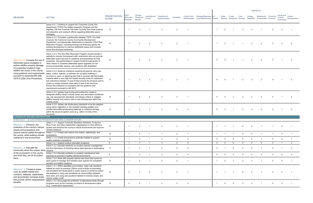|                                                                                                                                                                         |                                                                                                                                                                                                                                                                                                                                                                                                                                                                                                                          |                                       |                               |                                         |                           |                                |                |                                            |                                                            |                         |              |                                       |                | <b>COBENEFITS</b>     |                                               |                |                                             |                |
|-------------------------------------------------------------------------------------------------------------------------------------------------------------------------|--------------------------------------------------------------------------------------------------------------------------------------------------------------------------------------------------------------------------------------------------------------------------------------------------------------------------------------------------------------------------------------------------------------------------------------------------------------------------------------------------------------------------|---------------------------------------|-------------------------------|-----------------------------------------|---------------------------|--------------------------------|----------------|--------------------------------------------|------------------------------------------------------------|-------------------------|--------------|---------------------------------------|----------------|-----------------------|-----------------------------------------------|----------------|---------------------------------------------|----------------|
| <b>MEASURE</b>                                                                                                                                                          | <b>ACTION</b>                                                                                                                                                                                                                                                                                                                                                                                                                                                                                                            | <b>PRIORITIZATION</b><br><b>SCORE</b> | 3HG<br>Reduction<br>Potential | Climate<br>Resilience<br><b>Benefit</b> | Jurisdictional<br>Control | Timeframe of<br>Implementation | Feasibility    | <b>County Cost</b><br><b>Effectiveness</b> | Resident/Business Air<br><b>Cost Effectiveness Quality</b> |                         | Water        | Forest<br>Security Resilience Savings | Cost           | Energy<br>Reliability | Biodiversity<br><b>Conservation Diversity</b> | Economic       | Social and Carbon<br>Cultural<br>Well-being | Sequestration  |
|                                                                                                                                                                         | Action 4.2.1. Continue to support the Tuolumne County Fire<br>Department (TCFD) Fire Safety Inspection Program and the<br>Highway 108 and Yosemite Fire Safe Councils' fuel break projects<br>and education and outreach efforts regarding defensible space<br>strategies.                                                                                                                                                                                                                                               | 15                                    | $\overline{1}$                | 3                                       | $\overline{\mathbf{1}}$   | -3                             | $\overline{2}$ |                                            |                                                            | $\overline{1}$          |              |                                       |                |                       |                                               | $\Omega$       |                                             |                |
|                                                                                                                                                                         | Action 4.2.2. Formalize a partnership between TCFD, Fire Safe<br>Councils, the Tuolumne County Community Development<br>Department, and appropriate stakeholders to develop a WUI Risk<br>Reduction Program, including funding and financing options for<br>existing development to improve defensible space and increase<br>home and structural hardening.                                                                                                                                                              | 14                                    |                               | $\mathcal{R}$                           | 2                         | $\overline{2}$                 | 2              |                                            |                                                            | $\overline{1}$          | $\Omega$     |                                       |                |                       | $\Omega$                                      | $\Omega$       | $\Omega$                                    |                |
| Measure 4.2: Increase the use of<br>defensible space strategies to<br>reduce wildfire property damage<br>for properties located in high-                                | Action 4.2.3. The WUI Risk Reduction Program should include a<br>website to connect homeowners with contractors who can provide<br>defensible space services to residents and businesses for their<br>properties. Use partnerships to acquire funds through grants or<br>other means to subsidize defensible space upgrades for low-<br>income households, seniors, and residents with disabilities.                                                                                                                     | 13                                    | $\overline{1}$                | $\overline{2}$                          | 2                         | 2                              | 2              |                                            |                                                            | $\Omega$                | $\Omega$     |                                       |                |                       | $\Omega$                                      | $\Omega$       |                                             | $\Omega$       |
| wildfire risk zones in the county<br>using guidance and requirements<br>pursuant to Assembly Bill (AB)<br>3074 of 2020 (Fire Prevention).                               | Action 4.2.4. Adopt an ordinance requiring all persons (who own,<br>lease, control, operate, or maintain an occupied dwelling or<br>structure in, upon, or adjoining land that is covered with flammable<br>material within a very high fire hazard severity zone) to implement<br>fuel reductions between 15 and 30 feet around the structure and to<br>create an ember-resistant zone within 5 feet of the structure.<br>Ensure the ordinance is consistent with the guidance and<br>requirements pursuant to AB 3074. | 13                                    |                               | $\mathbf{3}$                            | 2                         | 2                              | 2              |                                            |                                                            | $\mathbf 0$             | $\Omega$     |                                       |                |                       |                                               | $\Omega$       |                                             |                |
|                                                                                                                                                                         | Action 4.2.5. Update local zoning and subdivision codes to<br>designate wildfire hazard overlay zones and associated conditional<br>use, site development standards, and design criteria to mitigate<br>wildfire hazards and reduce risks to new development within the<br>overlay zones.                                                                                                                                                                                                                                | 12                                    | $\overline{1}$                |                                         | $\mathcal{P}$             | $\mathcal{P}$                  | 2              |                                            |                                                            | $\Omega$                |              |                                       |                |                       |                                               | $\Omega$       |                                             | - 0            |
|                                                                                                                                                                         | Action 4.2.6. Update site landscaping standards to be fire-adapted<br>using native vegetation or fire-resistant planting palettes and<br>prohibit flammable landscaping plantings or materials storage<br>within the structure ignition zone (e.g., within 0-5 feet of the<br>structure).                                                                                                                                                                                                                                | 12 <sup>2</sup>                       | $\overline{1}$                |                                         | $\mathcal{P}$             | $\mathcal{E}$                  | 2              | $\overline{0}$                             |                                                            | $\Omega$                |              |                                       |                |                       |                                               | $\Omega$       |                                             | $\Omega$       |
| <b>CONSERVATION AND RECREATION</b>                                                                                                                                      |                                                                                                                                                                                                                                                                                                                                                                                                                                                                                                                          |                                       |                               |                                         |                           |                                |                |                                            |                                                            |                         |              |                                       |                |                       |                                               |                |                                             |                |
|                                                                                                                                                                         | STRATEGY 1. ECOSYSTEM PRESERVATION AND CONSERVATION                                                                                                                                                                                                                                                                                                                                                                                                                                                                      |                                       |                               |                                         |                           |                                |                |                                            |                                                            |                         |              |                                       |                |                       |                                               |                |                                             |                |
| Measure 1.1: Enhance the<br>protection of the county's natural                                                                                                          | Action 1.1.1. Support Yosemite Stanislaus Solutions, Tuolumne<br>River Trust, and other stakeholder organizations in their efforts to<br>protect and enhance the county's natural environment and improve                                                                                                                                                                                                                                                                                                                | 17                                    |                               |                                         |                           |                                | 2              |                                            |                                                            |                         |              |                                       |                |                       |                                               |                |                                             |                |
| assets and ecosystems and<br>the county, while building climate                                                                                                         | climate resilience.<br>expand natural capital throughout Action 1.1.2. Protect and restore river basins, watersheds, and<br>ecosystems.                                                                                                                                                                                                                                                                                                                                                                                  | 15                                    | $\overline{1}$                | $\mathbf{3}$                            | $\overline{1}$            | $\overline{1}$                 | $\overline{2}$ | $\overline{1}$                             |                                                            | $\overline{1}$          |              |                                       | $\mathbf 0$    | $\Omega$              | $\overline{1}$                                | $\overline{1}$ | $\mathbf 0$                                 | $\overline{1}$ |
| resilience in the environment.                                                                                                                                          | Action 1.1.3. Create and preserve pollinator habitat to support<br>healthy pollinator populations.                                                                                                                                                                                                                                                                                                                                                                                                                       | 10                                    |                               | $\overline{2}$                          | $\overline{1}$            | $\overline{2}$                 | $\overline{2}$ | $\overline{0}$                             |                                                            | $\mathbf 0$             | $\mathbf 0$  | $\Omega$                              | $\Omega$       | $\Omega$              |                                               | $\mathbf{0}$   | $\mathbf{0}$                                |                |
|                                                                                                                                                                         | Action 1.2.1. Support outdoor education programs.                                                                                                                                                                                                                                                                                                                                                                                                                                                                        | 9                                     | $\overline{1}$                | $\overline{1}$                          | $\overline{1}$            | $\mathbf{3}$                   | 2              | $\overline{0}$                             |                                                            | $\overline{0}$          | $\mathbf{0}$ | $\Omega$                              | $\overline{0}$ | $\Omega$              | $\mathbf{0}$                                  | $\mathbf 0$    | $\overline{1}$                              | $\overline{0}$ |
| Measure 1.2: Educate the<br>community about the unique value projects.                                                                                                  | Action 1.2.2. Educate residents on invasive species management<br>and the importance of choosing native plant species in landscaping                                                                                                                                                                                                                                                                                                                                                                                     | 11                                    |                               | $\overline{2}$                          |                           | $\overline{2}$                 | 2              | $\Omega$                                   |                                                            | $\mathbf 0$             |              |                                       |                |                       |                                               | $\Omega$       |                                             | $\Omega$       |
| of the ecosystems in the county<br>and what they can do to protect                                                                                                      | Action 1.2.3. Educate residents on property maintenance best<br>practices to promote a healthy natural environment.                                                                                                                                                                                                                                                                                                                                                                                                      | 8                                     | $\overline{1}$                | 2                                       | $\overline{1}$            | $\overline{2}$                 | $\overline{2}$ | $\overline{0}$                             |                                                            | $\mathbf 0$             | $\Omega$     | $\mathbf 0$                           | $\mathbf 0$    | $\Omega$              | $\mathbf 0$                                   | $\mathbf 0$    | $\mathbf 0$                                 | $\mathbf 0$    |
| them.                                                                                                                                                                   | Action 1.2.4. Work with property owners who have land zoned as<br>open space to manage and maintain open spaces for ecosystem<br>benefits and wildfire resilience.                                                                                                                                                                                                                                                                                                                                                       | 13                                    | $\overline{1}$                | 2                                       | - 1                       | 2                              | $\overline{2}$ | $\overline{1}$                             |                                                            | $\overline{1}$          | $\Omega$     |                                       |                |                       |                                               | $\Omega$       | $\Omega$                                    |                |
| Measure 1.3: Conserve areas,<br>such as wildlife habitat and<br>corridors, wetlands, watersheds.<br>and groundwater recharge areas<br>that provide carbon sequestration | Action 1.3.1. Within identified communities, retain oak woodland<br>habitat as much as practical. Efforts could include incorporating<br>oak woodland into landscaped or public spaces to enhance project<br>site aesthetics, using oak woodlands as visual buffers between<br>land uses, and using oak woodland habitat to maintain slopes and<br>reduce onsite runoff.                                                                                                                                                 | 16                                    | $\overline{2}$                | $\mathcal{P}$                           | 2                         | $\overline{2}$                 | 2              |                                            |                                                            | - 1                     |              |                                       |                |                       |                                               | $\Omega$       | $\Omega$                                    |                |
| benefits.                                                                                                                                                               | Action 1.3.2. Encourage the protection of agricultural lands through<br>programs such as the voluntary purchase of development rights<br>(e.g., conservation easements).                                                                                                                                                                                                                                                                                                                                                 | 13                                    | $\overline{2}$                | $\overline{2}$                          | $\overline{\mathbf{1}}$   | 3                              | $\overline{2}$ | $\overline{\mathbf{0}}$                    |                                                            | $\overline{\mathbf{1}}$ | $\Omega$     | $\Omega$                              |                |                       |                                               | $\Omega$       | $\Omega$                                    |                |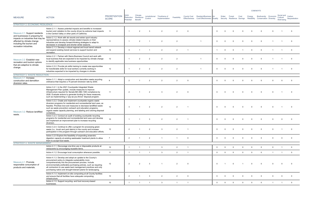| <b>MEASURE</b>                                                                               | <b>ACTION</b>                                                                                                                                                                                                                                                                                                                                                                       | <b>PRIORITIZATION</b><br><b>SCORE</b> | GHG<br>Reduction<br>Potential | Climate<br>Resilience<br><b>Benefit</b> | Jurisdictional<br>Control | Timeframe of<br>Implementation | Feasibility    | <b>County Cost</b> | Resident/Business Air<br>Effectiveness Cost Effectiveness Quality |                | Water    | Forest      | Cost        | Energy   | Biodiversity Economic<br>Security Resilience Savings Reliability Conservation Diversity |                | Social and<br>Cultural<br>Well-being | Carbon<br>Sequestration |
|----------------------------------------------------------------------------------------------|-------------------------------------------------------------------------------------------------------------------------------------------------------------------------------------------------------------------------------------------------------------------------------------------------------------------------------------------------------------------------------------|---------------------------------------|-------------------------------|-----------------------------------------|---------------------------|--------------------------------|----------------|--------------------|-------------------------------------------------------------------|----------------|----------|-------------|-------------|----------|-----------------------------------------------------------------------------------------|----------------|--------------------------------------|-------------------------|
| <b>STRATEGY 2. ECONOMIC RESILIENCE</b>                                                       |                                                                                                                                                                                                                                                                                                                                                                                     |                                       |                               |                                         |                           |                                |                |                    |                                                                   |                |          |             |             |          |                                                                                         |                |                                      |                         |
| Measure 2.1: Support residents<br>and businesses in preparing for                            | Action 2.1.1. Assess potential impacts and benefits to increased<br>tourism and visitation to the county driven by extreme heat impacts<br>in the Central Valley or other parts of California.                                                                                                                                                                                      | 11                                    |                               | $\overline{2}$                          | - 3                       | 2                              | 2              | $\overline{0}$     |                                                                   | $\Omega$       |          | $\Omega$    | $\Omega$    |          |                                                                                         |                |                                      | - 0                     |
| impacts on industries that may be<br>affected by climate change<br>including the tourism and | Action 2.1.2. Work with ski resorts and winter sport industry<br>representatives to assess climate-related impacts on their<br>industries and develop forward-thinking strategies to adapt to<br>decreases in snowpack and shorter winter seasons.                                                                                                                                  | 11                                    | $\overline{1}$                | $\mathcal{P}$                           |                           | 2                              | $\overline{2}$ |                    |                                                                   | $\Omega$       |          | $\Omega$    | $\Omega$    |          | $\Omega$                                                                                |                |                                      | $\Omega$                |
| recreation industries.                                                                       | Action 2.1.3. Develop a robust regional and local transit network<br>and expand existing transit services to support tourism and<br>recreation.                                                                                                                                                                                                                                     | 14                                    | 3                             |                                         | $\overline{1}$            | 2                              | 2              | $\overline{1}$     |                                                                   |                | $\Omega$ | $\Omega$    |             | $\Omega$ | $\Omega$                                                                                | $\overline{1}$ | $\overline{1}$                       | $\overline{0}$          |
| Measure 2.2: Establish new<br>recreation and tourism options                                 | Action 2.2.1. Partner with Sierra Business Council and work with<br>local business that are expected to be impacted by climate change<br>to identify applicable new business opportunities.                                                                                                                                                                                         | 12                                    |                               | $\overline{2}$                          | $\overline{2}$            | $\overline{2}$                 | $\overline{2}$ |                    |                                                                   | $\Omega$       |          | $\Omega$    | $\Omega$    |          | $\Omega$                                                                                |                |                                      | $\overline{0}$          |
| that are adaptive to climate<br>change.                                                      | Action 2.2.2. Provide job skills training to create new opportunities<br>for transferable skills for local workers currently working in<br>industries expected to be impacted by changes in climate.                                                                                                                                                                                | 12                                    |                               | 2                                       | $\overline{2}$            | 2                              | $\overline{2}$ |                    |                                                                   | $\Omega$       |          | $\Omega$    | $\Omega$    |          |                                                                                         |                |                                      | $\Omega$                |
| <b>STRATEGY 3. WASTE REDUCTION</b>                                                           |                                                                                                                                                                                                                                                                                                                                                                                     |                                       |                               |                                         |                           |                                |                |                    |                                                                   |                |          |             |             |          |                                                                                         |                |                                      |                         |
| Measure 3.1: Increase<br>construction and demolition<br>diversion rates.                     | Action 3.1.1. Adopt a construction and demolition waste recycling<br>ordinance that requires a 75 percent diversion rate by 2030.                                                                                                                                                                                                                                                   | q                                     | 2                             |                                         | 2                         | 2                              | 2              | $\overline{0}$     |                                                                   | $\Omega$       | $\Omega$ | $\Omega$    | $\Omega$    |          |                                                                                         |                | $\Omega$                             | - 0                     |
|                                                                                              | Action 3.2.1. In the 2021 Countywide Integrated Waste<br>Management Plan update, include measures to improve<br>infrastructure required for Senate Bill (SB) 1383 compliance by<br>2026. Evaluate actions to generate funding for these measures,<br>such as implementing a "pay-as-you-throw" disposal program.                                                                    | 11                                    | 2                             |                                         | 2                         | $\mathbf{3}$                   | 2              | $\overline{0}$     |                                                                   | $\Omega$       |          | $\Omega$    | $\Omega$    |          |                                                                                         |                |                                      | - 0                     |
| Measure 3.2: Reduce landfilled                                                               | Action 3.2.2. Create and implement countywide organic waste<br>diversion programs for residential and nonresidential land uses, as<br>feasible. Prioritize low-cost measures to decrease landfilled waste<br>such as waste prevention outreach and education programs,<br>organic waste capacity planning, and labeling and coloring disposal<br>containers.                        | 12                                    | $\mathcal{B}$                 |                                         | 2                         | 2                              | 2              |                    |                                                                   | $\Omega$       |          |             |             |          |                                                                                         |                |                                      |                         |
| waste.                                                                                       | Action 3.2.3. Conduct an audit of existing countywide recycling<br>programs for residential and nonresidential land uses and develop<br>and implement an improvement plan to increase recycling<br>diversion.                                                                                                                                                                       | 10                                    |                               |                                         | -3                        | 2                              | $\overline{2}$ |                    |                                                                   | $\Omega$       |          |             |             |          |                                                                                         |                |                                      |                         |
|                                                                                              | Action 3.2.4. Continue to offer a program for processing green<br>waste (i.e., brush and yard debris) in the county and increase<br>participation in the program through outreach and education efforts.                                                                                                                                                                            | 12                                    | $\overline{2}$                |                                         |                           |                                |                |                    |                                                                   | $\Omega$       |          |             |             |          |                                                                                         |                |                                      |                         |
|                                                                                              | Action 3.2.5 Explore the feasibility of expanding anaerobic<br>digestion capacity at existing wastewater treatment plants to allow<br>them to accept food waste.                                                                                                                                                                                                                    | $\overline{7}$                        | $\overline{2}$                |                                         | 2                         | $\overline{1}$                 | $\overline{1}$ | $\overline{0}$     |                                                                   | $\Omega$       |          | $\Omega$    |             |          |                                                                                         |                |                                      |                         |
| STRATEGY 4. WASTE MANAGEMENT                                                                 | Action 4.1.1. Discourage one-time use or disposable products at                                                                                                                                                                                                                                                                                                                     |                                       |                               |                                         |                           |                                |                |                    |                                                                   |                |          |             |             |          |                                                                                         |                |                                      |                         |
|                                                                                              | restaurants by encouraging reusable items.                                                                                                                                                                                                                                                                                                                                          | 10 <sup>1</sup>                       | $\mathbf{1}$                  |                                         |                           | $\mathbf{3}$                   | $\overline{2}$ | $\overline{1}$     |                                                                   | $\mathbf 0$    | $\Omega$ | $\Omega$    | $\Omega$    | $\Omega$ | $\Omega$                                                                                | $\Omega$       |                                      | $\Omega$                |
|                                                                                              | Action 4.1.2. Encourage local consumption whenever possible.                                                                                                                                                                                                                                                                                                                        | 11                                    | $\overline{1}$                | $\mathbf{1}$                            | $\overline{1}$            | $\mathbf{3}$                   | 2              | $\overline{1}$     |                                                                   | $\mathbf 0$    | $\Omega$ | $\mathbf 0$ | $\Omega$    | $\Omega$ | $\mathbf 0$                                                                             |                | $\overline{1}$                       | $\overline{0}$          |
| Measure 4.1: Promote<br>responsible consumption of<br>products and materials.                | Action 4.1.3. Develop and adopt an update to the County's<br>procurement policy to integrate sustainability more<br>comprehensively into the procurement process. Include<br>environmentally preferable purchasing policies, such as requiring<br>all contractors to use waste best management practices and only<br>purchasing native and drought-tolerant plants for landscaping. | 12                                    | 2                             | $\mathcal{P}$                           | $\mathbf{3}$              |                                | 2              | $\overline{0}$     |                                                                   | $\Omega$       |          | $\Omega$    |             |          |                                                                                         |                |                                      |                         |
|                                                                                              | Action 4.1.4. Implement on-site composting at all County facilities<br>and ensure that all facilities have adequate composting<br>infrastructure.                                                                                                                                                                                                                                   | 10                                    | 2                             |                                         | $\mathbf{3}$              | 2                              | 2              | $\overline{0}$     |                                                                   | $\overline{0}$ |          | $\Omega$    | $\Omega$    |          |                                                                                         |                | $\Omega$                             | $\overline{0}$          |
|                                                                                              | Action 4.1.5. Support recycling- and food recovery-based<br>businesses.                                                                                                                                                                                                                                                                                                             | 10                                    | $\overline{1}$                | $\overline{1}$                          | $\overline{1}$            | $3\overline{3}$                | $\overline{1}$ | $\overline{1}$     |                                                                   | $\overline{0}$ | $\Omega$ | $\Omega$    | $\mathbf 0$ | $\Omega$ | $\overline{0}$                                                                          |                |                                      | $\mathbf 0$             |

 $\mathbf{I}$ 

# **COBENEFITS**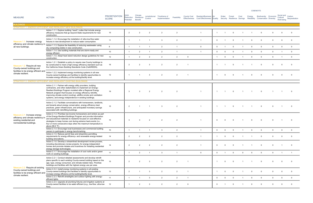| <b>MEASURE</b>                                                                                                                 | <b>ACTION</b>                                                                                                                                                                                                                                                                                                                                                                                 | <b>PRIORITIZATION</b><br><b>SCORE</b> | ЭHG<br>Reduction<br>Potential | Climate<br>Resilience<br><b>Benefit</b> | Jurisdictional<br>Control | Timeframe of<br>Implementation | Feasibility    | <b>County Cost</b>      | <b>Resident/Business</b><br>Effectiveness Cost Effectiveness Quality | Air            | Water       | Forest<br>Security Resilience Savings | Cost         | Energy      | Biodiversity Economic<br>Reliability Conservation Diversity |              | Social and Carbon<br>Cultural<br>Well-being | Sequestration  |
|--------------------------------------------------------------------------------------------------------------------------------|-----------------------------------------------------------------------------------------------------------------------------------------------------------------------------------------------------------------------------------------------------------------------------------------------------------------------------------------------------------------------------------------------|---------------------------------------|-------------------------------|-----------------------------------------|---------------------------|--------------------------------|----------------|-------------------------|----------------------------------------------------------------------|----------------|-------------|---------------------------------------|--------------|-------------|-------------------------------------------------------------|--------------|---------------------------------------------|----------------|
| <b>BUILDINGS</b>                                                                                                               |                                                                                                                                                                                                                                                                                                                                                                                               |                                       |                               |                                         |                           |                                |                |                         |                                                                      |                |             |                                       |              |             |                                                             |              |                                             |                |
|                                                                                                                                | STRATEGY 1. ENERGY-EFFICIENT AND RESILIENT NEW BUILDINGS<br>Action 1.1.1. Explore building "reach" codes that include energy<br>efficiency measures that go beyond State requirements for new<br>construction.                                                                                                                                                                                | 15                                    | $\overline{2}$                | $\overline{2}$                          | $\overline{2}$            | $\overline{2}$                 | 2              |                         | $\overline{1}$                                                       | $\overline{1}$ |             | $\Omega$                              |              |             |                                                             |              | $\Omega$                                    | $\Omega$       |
| Measure 1.1: Increase energy                                                                                                   | Action 1.1.2. Encourage the installation of ultra-low-flow water<br>fixtures in new development to reduce water consumption.                                                                                                                                                                                                                                                                  | 11                                    |                               |                                         |                           | 3                              | $\overline{2}$ |                         |                                                                      | $\mathbf 0$    |             | $\Omega$                              |              |             |                                                             |              | $\Omega$                                    |                |
|                                                                                                                                | efficiency and climate resiliency in $\frac{1.13}{\pi}$ Explore the feasibility of reducing wastewater using<br>dry composting toilets in new construction.                                                                                                                                                                                                                                   | 8                                     | $\overline{1}$                | $\overline{1}$                          | $\overline{1}$            | $\overline{2}$                 |                |                         | $\overline{0}$                                                       | $\mathbf 0$    |             | $\Omega$                              |              | $\Omega$    | $\Omega$                                                    | $\mathbf 0$  | $\Omega$                                    | $\mathbf 0$    |
|                                                                                                                                | Action 1.1.4. Use building materials that are storm-ready and<br>energy efficient.                                                                                                                                                                                                                                                                                                            | 10 <sup>1</sup>                       |                               | 2                                       |                           | 2                              |                |                         |                                                                      | $\mathbf{0}$   | $\Omega$    | $\Omega$                              |              | $\Omega$    | $\Omega$                                                    | $\Omega$     |                                             | $\Omega$       |
|                                                                                                                                | Action 1.1.5. Adopt heat island reduction design guidelines for new<br>construction.                                                                                                                                                                                                                                                                                                          | 12                                    | $\overline{1}$                | 2                                       | $\overline{2}$            | 2                              | 2              | $\overline{0}$          |                                                                      | $\overline{1}$ | $\Omega$    | $\Omega$                              |              | $\Omega$    | $\Omega$                                                    | $\mathbf{0}$ |                                             | $\Omega$       |
| Measure 1.2: Require all new<br>County-owned buildings and                                                                     | Action 1.2.1. Establish a policy to require new County buildings to<br>be constructed to meet a high energy efficiency standard such as<br>the California Green Building Standards Code (CalGREEN).                                                                                                                                                                                           | 16                                    | $\overline{2}$                |                                         | -3                        |                                | $\overline{2}$ |                         |                                                                      |                |             |                                       |              |             |                                                             |              |                                             |                |
| facilities to be energy efficient and<br>climate resilient.                                                                    | Action 1.2.2. Implement energy monitoring systems in all new<br>County-owned buildings and facilities to identify opportunities to<br>increase energy efficiency at the building/facility level.                                                                                                                                                                                              | 12                                    |                               |                                         | -3                        | $\overline{2}$                 | $\overline{2}$ |                         |                                                                      | - 1            | $\Omega$    | $\Omega$                              |              | $\Omega$    |                                                             |              | $\Omega$                                    | $\Omega$       |
|                                                                                                                                | STRATEGY 2. ENERGY-EFFICIENT AND RESILIENT EXISTING BUILDINGS                                                                                                                                                                                                                                                                                                                                 |                                       |                               |                                         |                           |                                |                |                         |                                                                      |                |             |                                       |              |             |                                                             |              |                                             |                |
|                                                                                                                                | Action 2.1.1. Partner with energy utility providers, building<br>contractors, and other stakeholders to implement an Energy-<br>Resilient Buildings Program modeled after a Regional Energy<br>Network program that focuses on energy efficiency retrofits,<br>improving climate-control (cooling), wildfire smoke and ventilation<br>systems, and energy independence in existing buildings. | 19                                    | $\mathbf{R}$                  |                                         |                           |                                | 2              |                         |                                                                      |                |             | $\Omega$                              |              |             |                                                             |              |                                             |                |
|                                                                                                                                | Action 2.1.2. Facilitate conversations with homeowners, landlords,<br>and tenants about energy conservation, energy efficiency best<br>practices, green infrastructure, and anticipated monetary savings<br>associated with retrofitting buildings.                                                                                                                                           | 15                                    | $\overline{2}$                |                                         |                           | $\mathbf{3}$                   | 2              |                         |                                                                      |                |             | $\Omega$                              |              |             | $\Omega$                                                    |              |                                             |                |
| Measure 2.1: Increase energy<br>efficiency and climate resiliency i<br>existing residential and<br>nonresidential buildings.   | Action 2.1.3. Prioritize low-income homeowners and renters as part<br>of the Energy-Resilient Buildings Program and provide information<br>and educational materials to residents focused on cost-effective<br>strategies to keep homes cool during extreme heat events (i.e.,<br>four or more consecutive days when the maximum temperature is<br>above $88.6$ °F).                          | 15                                    | -3                            | $\mathbf{R}$                            | $\overline{2}$            |                                |                |                         |                                                                      | $\Omega$       | $\Omega$    | $\Omega$                              |              |             |                                                             |              |                                             | $\Omega$       |
|                                                                                                                                | Action 2.1.4. Encourage local businesses and commercial building<br>owners to participate in energy benchmarking.                                                                                                                                                                                                                                                                             | 10 <sup>1</sup>                       |                               |                                         |                           | $\mathbf{3}$                   | $\overline{2}$ |                         |                                                                      | $\Omega$       | $\Omega$    | $\Omega$                              |              |             |                                                             |              |                                             |                |
|                                                                                                                                | Action 2.1.5. Reduce permit fees and streamline permitting<br>requirements for energy efficiency- and renewable energy-related<br>building renovations.                                                                                                                                                                                                                                       | 14                                    | $\overline{2}$                | $\overline{2}$                          | $\overline{2}$            |                                |                |                         |                                                                      |                | $\Omega$    | $\Omega$                              |              |             |                                                             |              | $\Omega$                                    |                |
|                                                                                                                                | Action 2.1.6. Develop a streamlined development review process,<br>including discretionary review projects, for energy-independent<br>homes and promote rebates and incentives for installing residential<br>energy storage technologies.                                                                                                                                                     | 14                                    | 2                             | $\mathcal{P}$                           | 2                         | $\mathcal{P}$                  | $\mathcal{P}$  |                         | $\overline{1}$                                                       | $\Omega$       |             | $\Omega$                              |              |             |                                                             |              |                                             |                |
|                                                                                                                                | Action 2.1.7. Encourage the installation of cool roofs and/or green<br>roofs on existing buildings.                                                                                                                                                                                                                                                                                           | 11                                    | $\overline{1}$                | 2                                       | $\overline{1}$            | $\overline{\mathbf{3}}$        |                |                         | $\overline{0}$                                                       | $\mathbf 0$    |             | $\mathbf 0$                           | $\mathbf 0$  | $\mathbf 0$ | $\mathbf 0$                                                 | $\mathbf 0$  | $\overline{1}$                              | $\overline{1}$ |
|                                                                                                                                | Action 2.2.1. Conduct detailed assessments and develop retrofit<br>plans specific to each existing County-owned building based on the<br>age, type, energy consumed, and climate-related risks. Prioritize<br>buildings and facilities with the highest energy use per area.                                                                                                                  | 15                                    | 2                             | $\mathcal{P}$                           | $\mathbf{3}$              | 2                              | 2              |                         |                                                                      |                | $\Omega$    | $\Omega$                              |              |             |                                                             |              | - 0                                         |                |
| Measure 2.2: Require all existing<br>County-owned buildings and<br>facilities to be energy efficient and<br>climate resilient. | Action 2.2.2. Install energy monitoring systems in all existing<br>County-owned buildings and facilities to identify opportunities to<br>increase energy efficiency at the building/facility level.                                                                                                                                                                                           | 13                                    | 2                             |                                         | -3                        | 2                              | 2              |                         |                                                                      |                | $\Omega$    | $\Omega$                              |              | $\Omega$    |                                                             |              | $\Omega$                                    | $\Omega$       |
|                                                                                                                                | Action 2.2.3. Retrofit streetlights and outdoor lighting with energy-<br>efficient lights.                                                                                                                                                                                                                                                                                                    | 11                                    |                               | $\overline{1}$                          | -3                        | $\overline{2}$                 | $\overline{2}$ | $\overline{1}$          |                                                                      | $\mathbf 0$    | $\mathbf 0$ | $\mathbf{0}$                          | $\mathbf{1}$ | $\mathbf 0$ | $\mathbf 0$                                                 | $\mathbf 0$  | $\overline{0}$                              | $\mathbf 0$    |
|                                                                                                                                | Action 2.2.4. Upgrade all plumbing fixtures and irrigation systems at<br>County-owned facilities to be water-efficient (e.g., low-flow, ultra-low-<br>flow).                                                                                                                                                                                                                                  | 12                                    |                               | 2                                       | - 3                       | 2                              | 2              | $\overline{\mathbf{0}}$ |                                                                      | $\mathbf 0$    |             | $\mathbf 0$                           |              | $\Omega$    |                                                             |              | $\Omega$                                    | $\Omega$       |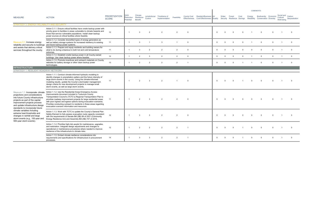| <b>MEASURE</b>                                                                                                                                                                                                                                    | <b>ACTION</b>                                                                                                                                                                                                                                                                                                                                                                                                                                            | <b>PRIORITIZATION</b><br><b>SCORE</b> | <b>GHG</b><br>Reduction<br><b>Potential</b> | Climate<br>Resilience<br><b>Benefit</b> | Jurisdictional<br>Control | Timeframe of<br>Implementation | Feasibility    | <b>County Cost</b> | Resident/Business Air<br>Effectiveness Cost Effectiveness Quality |          | Water    | Forest   | Cost     | Energy         | Biodiversity Economic<br>Security Resilience Savings Reliability Conservation Diversity |             | Social and Carbon<br>Cultural<br>Well-being | Sequestration  |
|---------------------------------------------------------------------------------------------------------------------------------------------------------------------------------------------------------------------------------------------------|----------------------------------------------------------------------------------------------------------------------------------------------------------------------------------------------------------------------------------------------------------------------------------------------------------------------------------------------------------------------------------------------------------------------------------------------------------|---------------------------------------|---------------------------------------------|-----------------------------------------|---------------------------|--------------------------------|----------------|--------------------|-------------------------------------------------------------------|----------|----------|----------|----------|----------------|-----------------------------------------------------------------------------------------|-------------|---------------------------------------------|----------------|
| <b>STRATEGY 3. ENERGY RELIABILITY AND SECURITY</b>                                                                                                                                                                                                |                                                                                                                                                                                                                                                                                                                                                                                                                                                          |                                       |                                             |                                         |                           |                                |                |                    |                                                                   |          |          |          |          |                |                                                                                         |             |                                             |                |
|                                                                                                                                                                                                                                                   | Action 3.1.1. Ensure critical facilities have onsite backup power with<br>priority given to facilities in areas vulnerable to climate hazards and<br>those that service vulnerable populations. Install clean backup<br>power sources at critical facilities where feasible.                                                                                                                                                                             | 12                                    | $\overline{1}$                              | $\mathcal{S}$                           | $\overline{2}$            |                                | 2              | $\Omega$           |                                                                   | $\Omega$ |          |          |          |                | $\Omega$                                                                                | $\Omega$    |                                             | $\Omega$       |
| Measure 3.1: Increase energy<br>reliability and security to buildings                                                                                                                                                                             | Action 3.1.2. Consider diversified types of energy generators as<br>well as battery storage systems for increased resiliency to existing<br>and future backup power systems.                                                                                                                                                                                                                                                                             | 11                                    | $\overline{1}$                              | 3                                       | $\overline{1}$            | $\mathbf{3}$                   | $\overline{1}$ | $\Omega$           |                                                                   | $\Omega$ |          |          | $\Omega$ |                | $\Omega$                                                                                | $\Omega$    | $\overline{1}$                              | $\Omega$       |
| and assets that delivery critical<br>services throughout the county.                                                                                                                                                                              | Action 3.1.3. Prepare and equip residents and building owners for<br>what to do during a blackout in both hot and cold temperature<br>extremes.                                                                                                                                                                                                                                                                                                          | 11                                    | $\overline{1}$                              | 3                                       | $\overline{2}$            | 2                              | $\overline{2}$ | $\Omega$           |                                                                   | $\Omega$ | $\Omega$ |          |          | $\Omega$       | $\Omega$                                                                                | $\Omega$    |                                             | $\Omega$       |
|                                                                                                                                                                                                                                                   | Action 3.1.4. Establish onsite backup power in all County-owned<br>buildings. Use clean backup power where feasible.                                                                                                                                                                                                                                                                                                                                     | 12                                    | $\overline{1}$                              | $2^{\circ}$                             | 3                         | 2                              | 2              | $\Omega$           |                                                                   | $\Omega$ | $\Omega$ | $\Omega$ | $\Omega$ | $\overline{1}$ | $\overline{0}$                                                                          | $\mathbf 0$ | $\overline{1}$                              | $\overline{0}$ |
|                                                                                                                                                                                                                                                   | Action 3.1.5. Promote incentives and outreach materials on County<br>websites for battery storage or other clean backup power<br>technologies.                                                                                                                                                                                                                                                                                                           | 13                                    | $\overline{1}$                              | 2                                       | 2                         | 2                              | 2              |                    |                                                                   | $\Omega$ | $\Omega$ | $\Omega$ |          |                | $\Omega$                                                                                | $\Omega$    |                                             | $\Omega$       |
| <b>INFRASTRUCTURE</b>                                                                                                                                                                                                                             |                                                                                                                                                                                                                                                                                                                                                                                                                                                          |                                       |                                             |                                         |                           |                                |                |                    |                                                                   |          |          |          |          |                |                                                                                         |             |                                             |                |
| STRATEGY 1. RESILIENT ROADWAY NETWORK                                                                                                                                                                                                             |                                                                                                                                                                                                                                                                                                                                                                                                                                                          |                                       |                                             |                                         |                           |                                |                |                    |                                                                   |          |          |          |          |                |                                                                                         |             |                                             |                |
|                                                                                                                                                                                                                                                   | Action 1.1.1. Conduct climate-informed hydraulic modeling to<br>identify changes in precipitation patters and the future intensity of<br>large storm events in the county. Using the climate-informed<br>modeling results, update the County's stormwater management<br>design criteria for new development projects to manage small<br>storm events, as well as large storm events.                                                                     | 11                                    | $\overline{1}$                              | $\mathfrak{p}$                          | $\mathbf{3}$              | $\mathcal{P}$                  |                | $\Omega$           |                                                                   |          |          |          |          |                |                                                                                         |             |                                             |                |
| Measure 1.1: Incorporate climate<br>projections and considerations<br>into future County infrastructure<br>projects as part of the capital<br>improvement projects process<br>and update infrastructure design<br>standards to incorporate future | Action 1.1.2. Use the Residential Areas Emergency Access<br>Improvements document included in Tuolumne County<br>Transportation Council's (TCTC's) Regional Transportation Plan to<br>prioritize roadway improvement projects for large residential areas<br>with poor ingress and egress options during evacuation scenarios.<br>Prioritize conducting outreach to residents in these areas regarding<br>evacuation scenario information and resources. | 11                                    | $\overline{1}$                              | $\mathcal{P}$                           | $\mathbf{3}$              | $\mathcal{P}$                  | 2              | $\Omega$           |                                                                   | $\Omega$ |          |          |          |                |                                                                                         |             |                                             |                |
| climate variables including<br>extreme heat thresholds and<br>changes in rainfall and large<br>storm events (e.g., 100-year and<br>500-year storm events).                                                                                        | Action 1.1.3. Work with TCTC to update the County's General Plan<br>Safety Element to fully assess evacuation route capacity consistent<br>with the requirements of Senate Bill (SB) 99 of 2021 (Community<br>Energy Resilience Act) and Assembly Bill (AB) 747 of 2019.                                                                                                                                                                                 | 12                                    | $\overline{1}$                              |                                         | ર                         |                                | $\mathcal{P}$  | $\Omega$           |                                                                   |          |          |          |          |                |                                                                                         | $\Omega$    |                                             | $\Omega$       |
|                                                                                                                                                                                                                                                   | Action 1.1.4. Prioritize high-risk assets for maintenance, upgrades,<br>and restoration. Integrate design adjustments and changes to<br>operational or maintenance procedures where needed to improve<br>resilience of the infrastructure to climate risks.                                                                                                                                                                                              | 12                                    | $\overline{\mathbf{1}}$                     | 2                                       | $\overline{2}$            | 2                              | 2              |                    |                                                                   | $\Omega$ |          |          |          | $\Omega$       | $\Omega$                                                                                | $\Omega$    |                                             | $\Omega$       |
|                                                                                                                                                                                                                                                   | Action 1.1.5. Embed climate resilience considerations into<br>requirements and specifications for infrastructure in procurement<br>processes.                                                                                                                                                                                                                                                                                                            | 14                                    | $\overline{1}$                              | 3                                       | 3                         | 2                              | 2              | $\overline{1}$     |                                                                   | $\Omega$ |          |          |          |                | $\Omega$                                                                                | $\Omega$    |                                             | $\Omega$       |

 $\overline{1}$ 

# **COBENEFITS**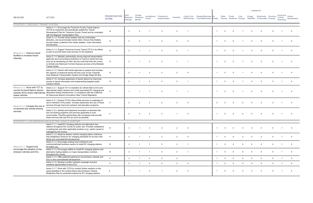| <b>MEASURE</b>                                                                             | <b>ACTION</b>                                                                                                                                                                                                                                                                                                           | <b>PRIORITIZATION</b><br><b>SCORE</b> | ЭHG<br>Reduction<br>Potential | Climate<br>Resilience<br><b>Benefit</b> | Jurisdictional<br>Control | Timeframe of<br>Implementation | Feasibilitv    | County Cost    | Resident/Business Air<br>Effectiveness Cost Effectiveness Quality |              | Water          | Forest         | Cost           | Energy         | Biodiversity Economic<br>Security Resilience Savings Reliability Conservation Diversity |                | Social and<br>Cultural<br>Well-being | Carbon<br>Sequestration |
|--------------------------------------------------------------------------------------------|-------------------------------------------------------------------------------------------------------------------------------------------------------------------------------------------------------------------------------------------------------------------------------------------------------------------------|---------------------------------------|-------------------------------|-----------------------------------------|---------------------------|--------------------------------|----------------|----------------|-------------------------------------------------------------------|--------------|----------------|----------------|----------------|----------------|-----------------------------------------------------------------------------------------|----------------|--------------------------------------|-------------------------|
| STRATEGY 2. RESILIENT TRANSIT SYSTEM                                                       |                                                                                                                                                                                                                                                                                                                         |                                       |                               |                                         |                           |                                |                |                |                                                                   |              |                |                |                |                |                                                                                         |                |                                      |                         |
|                                                                                            | Action 2.1.1. Encourage the Tuolumne County Transit Agency<br>(TCTA) to implement and periodically update the Transit<br>Development Plan for Tuolumne County Transit and be consistent<br>with the Regional Transportation Plan.                                                                                       | 14                                    | 2                             | $\mathcal{P}$                           |                           | 3                              | 2              |                |                                                                   |              |                | $\Omega$       |                |                |                                                                                         |                |                                      |                         |
|                                                                                            | Action 2.1.2. Provide transit shelters that are comfortable,<br>attractive, and accommodate transit riders. Ensure that shelters<br>provide shade, protection from winter weather, route information,<br>and benches.                                                                                                   | 12                                    | 2                             | $\mathcal{P}$                           |                           | 2                              |                | $\Omega$       |                                                                   |              |                | $\Omega$       |                |                |                                                                                         |                |                                      | - 0                     |
| Measure 2.1: Improve transit                                                               | Action 2.1.3. Support Tuolumne County Transit (TCT) in its efforts<br>to plan to provide fixed route services on the weekend.                                                                                                                                                                                           | 13                                    | 2                             |                                         |                           | $\mathbf{3}$                   | $\mathcal{P}$  | $\overline{1}$ |                                                                   |              |                | $\Omega$       |                |                |                                                                                         |                |                                      | - 0                     |
| facilities to increase transit<br>ridership.                                               | Action 2.1.4. Maintain partnerships among regional transportation<br>agencies and surrounding jurisdictions to improve transit services,<br>such as by developing an inter-city bus route that links the county<br>to Amtrak and Altamount Corridor Express services at the Modesto<br>Transit Center.                  | 13                                    | $\overline{2}$                |                                         | $\overline{2}$            | $\mathbf{3}$                   |                |                |                                                                   |              |                | $\Omega$       |                |                |                                                                                         |                |                                      |                         |
|                                                                                            | Action 2.1.5. Partner with transit agencies to expand and increase<br>the capacity of seasonal transit services such as the Yosemite<br>Area Regional Transportation System and Dodge Ridge Ski Bus.                                                                                                                    | 12                                    | 2                             |                                         | $\overline{2}$            | 2                              | $\mathcal{P}$  | $\Omega$       |                                                                   |              |                |                |                |                |                                                                                         |                |                                      | - 0                     |
|                                                                                            | Action 2.1.6. Increase awareness of transit options by improving<br>access to transit information and implementing targeted public<br>outreach efforts.                                                                                                                                                                 | 14                                    | $\overline{2}$                |                                         | $\overline{2}$            | -3                             | 2              | $\overline{1}$ |                                                                   |              | $\Omega$       | $\Omega$       |                |                |                                                                                         |                |                                      | - 0                     |
| Measure 2.2: Work with TCT to<br>convert its transit fleet to electric<br>fueled vehicles. | Action 2.2.1. Support TCT to transition its vehicle fleet to EVs and<br>alternatively fueled vehicles and install associated EV charging and<br>vehicles (EVs) and/or alternatively alternative fueling infrastructure, in compliance with the California<br>Air Resources Board's Innovative Clean Transit Regulation. | 11                                    |                               |                                         |                           | $\mathbf{3}$                   |                | $\overline{1}$ |                                                                   |              |                | $\Omega$       |                |                |                                                                                         |                |                                      | - 0                     |
| Measure 2.3: Increase the use of                                                           | Action 2.3.1. Expand TCTA's Dial-a-Ride services on weekdays to<br>serve members of the public. Increase awareness and use of these<br>services through improved outreach and education programs.                                                                                                                       | 11                                    | 2                             | $\mathcal{P}$                           | $\overline{2}$            | 2                              | $\mathcal{P}$  | $\Omega$       |                                                                   | $\Omega$     |                | $\Omega$       |                |                |                                                                                         |                |                                      | - 0                     |
| on-demand and vehicle-sharing<br>services.                                                 | Action 2.3.2. Identify and implement innovative on-demand ride-<br>and car-sharing programs and services applicable to rural<br>communities. Prioritize partnerships with companies that provide<br>these services that use EVs as much as possible.                                                                    | 11                                    | $\overline{2}$                | $\mathcal{P}$                           | 2                         | 2                              | $\overline{1}$ | $\overline{0}$ |                                                                   | -1           |                | $\Omega$       | $\Omega$       |                |                                                                                         | $\Omega$       |                                      | $\Omega$                |
|                                                                                            | STRATEGY 3. LOW-EMISSION AND ELECTRIC VEHICLE SUPPORT                                                                                                                                                                                                                                                                   |                                       |                               |                                         |                           |                                |                |                |                                                                   |              |                |                |                |                |                                                                                         |                |                                      |                         |
|                                                                                            | Action 3.1.1. Install EV charging stations and alternative fuel<br>stations throughout the County for public use. Prioritize installations<br>in parking lots and other applicable locations (e.g., parks) owned or<br>managed by the County.                                                                           | 13                                    |                               |                                         |                           |                                |                |                |                                                                   |              |                |                |                |                |                                                                                         |                |                                      |                         |
|                                                                                            | Action 3.1.2. Adopt an electric vehicle charging station ordinance<br>that establishes minimum EV charging standards for all new multi-<br>family and nonresidential development.                                                                                                                                       | 11                                    | 2                             | $\overline{1}$                          | $\overline{2}$            | $\overline{2}$                 | 2              | $\overline{0}$ |                                                                   | $\mathbf{1}$ | $\overline{0}$ | $\overline{0}$ | $\overline{0}$ | $\overline{0}$ | $\mathbf 0$                                                                             | $\mathbf{0}$   | $\overline{1}$                       | $\overline{0}$          |
| Measure 3.1: Support and                                                                   | Action 3.1.3. Encourage existing local institutions and<br>commercial/retail business owners to install EV charging stations<br>for public use.                                                                                                                                                                         | 12                                    | 2                             | $\overline{1}$                          | $\overline{1}$            | 3 <sup>1</sup>                 | 2              | $\overline{1}$ |                                                                   | $\mathbf{1}$ | $\overline{0}$ | $\overline{0}$ | $\overline{0}$ | $\overline{0}$ | $\overline{0}$                                                                          | $\mathbf{0}$   | $\overline{1}$                       | $\overline{0}$          |
| encourage the adoption of low-<br>emission vehicles and EVs.                               | Action 3.1.4. Encourage utilities to install EV charging stations and<br>alternative fueling stations on major transportation corridors<br>throughout the county.                                                                                                                                                       | 12                                    | $\overline{2}$                | $\overline{1}$                          | $\overline{1}$            | $\mathbf{3}$                   | $\overline{2}$ | $\overline{1}$ |                                                                   | $\mathbf{1}$ | $\mathbf{0}$   | $\mathbf 0$    | $\mathbf 0$    | $\Omega$       | $\overline{0}$                                                                          | $\Omega$       | $\overline{1}$                       | $\overline{0}$          |
|                                                                                            | Action 3.1.5. Offer preferred parking for low-emission vehicles and<br>EVs in new nonresidential development.<br>Action 3.1.6. Develop a public outreach campaign and give                                                                                                                                              | 11                                    | $\overline{2}$                | $\overline{1}$                          | $\overline{2}$            | $\overline{2}$                 | $\overline{2}$ |                |                                                                   | $\mathbf{1}$ | $\mathbf{0}$   | $\mathbf 0$    | $\mathbf 0$    | $\mathbf 0$    | $\overline{0}$                                                                          | $\overline{0}$ | $\overline{1}$                       | $\overline{0}$          |
|                                                                                            | residents opportunities to drive EVs.                                                                                                                                                                                                                                                                                   | 11                                    | $\overline{2}$                | $\overline{1}$                          | $\overline{2}$            | 2                              | $2^{\circ}$    | $\overline{0}$ |                                                                   | $\mathbf{1}$ | $\mathbf 0$    | $\mathbf 0$    | $\overline{0}$ | $\overline{0}$ | $\overline{0}$                                                                          | $\overline{0}$ | $\overline{1}$                       | $\overline{0}$          |
|                                                                                            | Action 3.1.7. Work with TCTA to conduct further analysis on the<br>areas identified in the Central Sierra Zero-Emission Vehicle<br>Readiness Plan for potential locations for EV charging stations.                                                                                                                     | 9                                     | $\overline{1}$                | $\overline{1}$                          | $\overline{2}$            | $\overline{1}$                 | $\overline{2}$ | $\overline{0}$ |                                                                   | $\mathbf 1$  | $\Omega$       | $\mathbf 0$    | $\mathbf{0}$   | $\overline{0}$ | $\overline{0}$                                                                          | $\Omega$       | $\overline{1}$                       | $\overline{0}$          |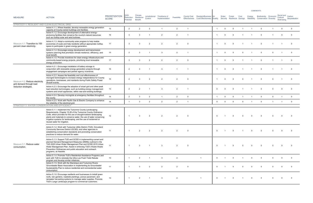| <b>MEASURE</b>                                               | <b>ACTION</b>                                                                                                                                                                                                                                                                                                                                                         | <b>PRIORITIZATION</b><br><b>SCORE</b> | <b>GHG</b><br>Reduction<br>Potential | Climate<br>Resilience<br><b>Benefit</b> | Jurisdictional<br>Control | Timeframe of<br>Implementation | Feasibility    | <b>County Cost</b> | Resident/Business Air<br>Effectiveness Cost Effectiveness Quality |                         | Water    | Forest   | Cost        | Energy   | Biodiversity Economic<br>Security Resilience Savings Reliability Conservation Diversity |             | Social and<br>Cultural<br>Well-being | Carbon<br>Sequestration |
|--------------------------------------------------------------|-----------------------------------------------------------------------------------------------------------------------------------------------------------------------------------------------------------------------------------------------------------------------------------------------------------------------------------------------------------------------|---------------------------------------|--------------------------------------|-----------------------------------------|---------------------------|--------------------------------|----------------|--------------------|-------------------------------------------------------------------|-------------------------|----------|----------|-------------|----------|-----------------------------------------------------------------------------------------|-------------|--------------------------------------|-------------------------|
| STRATEGY 4. RESILIENT AND CLEAN ELECTRICAL GRID              |                                                                                                                                                                                                                                                                                                                                                                       |                                       |                                      |                                         |                           |                                |                |                    |                                                                   |                         |          |          |             |          |                                                                                         |             |                                      |                         |
|                                                              | Action 4.1.1. Where feasible, develop renewable energy generation<br>capacity at County-owned buildings and facilities.                                                                                                                                                                                                                                               | 15                                    | $\overline{2}$                       | 2                                       | -3                        |                                | $\overline{2}$ | $\overline{1}$     |                                                                   |                         | $\Omega$ | $\Omega$ |             |          | $\Omega$                                                                                |             | $\mathbf 0$                          | $\overline{\mathbf{0}}$ |
|                                                              | Action 4.1.2. Encourage development of alternative energy-<br>producing facilities that conserve the county's natural resources<br>such as rooftop solar and wind turbines.                                                                                                                                                                                           | 16                                    | $\mathbf{3}$                         | 3                                       | $\overline{1}$            | 2                              | 2              | $\overline{1}$     |                                                                   |                         | $\Omega$ | $\Omega$ |             |          | $\mathbf{0}$                                                                            |             | $\Omega$                             | $\Omega$                |
| Measure 4.1: Transition to 100<br>percent clean electricity. | Action 4.1.3. Adopt a community solar program to help realize<br>economies of scale and help residents without appropriate rooftop<br>space to participate in green energy generation.                                                                                                                                                                                | 17                                    | 3                                    | 3                                       | $\overline{2}$            | $\overline{2}$                 | $\overline{2}$ | $\overline{0}$     |                                                                   |                         |          | $\Omega$ |             |          | $\mathbf{0}$                                                                            |             |                                      | $\overline{0}$          |
|                                                              | Action 4.1.4. Encourage energy development and transmission<br>systems planning that prioritizes climate resilience, efficiency, and<br>local benefit.                                                                                                                                                                                                                | 15                                    | $\overline{2}$                       | 3                                       | $\overline{1}$            | -3                             | 2              | $\overline{1}$     |                                                                   |                         |          | $\Omega$ | $\Omega$    |          |                                                                                         | $\Omega$    |                                      | $\overline{\mathbf{0}}$ |
|                                                              | Action 4.1.5. Provide incentives for clean energy infrastructure and<br>community-based energy projects, prioritizing local renewable<br>energy production.                                                                                                                                                                                                           | 17                                    | $\mathbf{3}$                         | 3                                       | $\overline{2}$            | 2                              | $\overline{2}$ | $\overline{0}$     |                                                                   | -1                      | $\Omega$ | $\Omega$ |             |          | $\Omega$                                                                                |             |                                      | - 0                     |
|                                                              | Action 4.2.1. Encourage installation of battery storage in<br>conjunction with renewable energy generation projects through<br>engagement campaigns and partner agency incentives.                                                                                                                                                                                    | 16                                    | $\overline{2}$                       | $\mathbf{3}$                            |                           | $\mathbf{3}$                   |                |                    |                                                                   |                         |          | $\Omega$ |             |          |                                                                                         |             |                                      | $\overline{0}$          |
| Measure 4.2: Reduce electricity<br>grid demand through load  | Action 4.2.2. Assess the feasibility and cost effectiveness of<br>microgrid technologies to increase energy independence for County<br>operations, businesses, and residents during Public Safety Power<br>Shutoff events.                                                                                                                                            | 15                                    | 2                                    | $\mathcal{R}$                           | $\mathbf{3}$              | 2                              | 2              | $\overline{0}$     |                                                                   |                         |          |          |             |          |                                                                                         |             |                                      | $\Omega$                |
| reduction strategies.                                        | Action 4.2.3. Encourage the adoption of smart grid and other peak<br>load reduction technologies, such as building energy management<br>systems and smart appliances, within new and existing buildings.                                                                                                                                                              | 13                                    | $\overline{2}$                       | 2                                       |                           | 3                              | $\overline{2}$ | $\overline{1}$     |                                                                   | $\overline{0}$          |          | $\Omega$ |             |          |                                                                                         | $\Omega$    | $\Omega$                             | $\overline{\mathbf{0}}$ |
|                                                              | Action 4.2.4. Develop microgrids at emergency facilities throughout<br>the county.                                                                                                                                                                                                                                                                                    | 14                                    | $\overline{2}$                       | $\mathbf{3}$                            | 2                         |                                | $\overline{2}$ | $\overline{0}$     |                                                                   | $\mathbf{1}$            | $\Omega$ | $\Omega$ | $\mathbf 1$ | -1       | $\overline{0}$                                                                          | $\mathbf 0$ | $\overline{1}$                       | $\overline{0}$          |
|                                                              | Action 4.2.5. Work with Pacific Gas & Electric Company to enhance<br>the reliability of the electrical grid.                                                                                                                                                                                                                                                          | 14                                    | $\overline{1}$                       | 3                                       | $\overline{2}$            | 2                              | $\overline{2}$ | $\overline{1}$     |                                                                   | $\mathbf 0$             | $\Omega$ | $\Omega$ | $\Omega$    |          | $\overline{0}$                                                                          |             |                                      | $\overline{0}$          |
| STRATEGY 5. WATER CONSERVATION AND EFFICIENCY                |                                                                                                                                                                                                                                                                                                                                                                       |                                       |                                      |                                         |                           |                                |                |                    |                                                                   |                         |          |          |             |          |                                                                                         |             |                                      |                         |
|                                                              | Action 5.1.1. Implement the Tuolumne County Landscaping<br>Requirements, Chapter 15.28 of the Tuolumne County Ordinance<br>Code, which provides for the use of drought-tolerant landscaping<br>plants and materials to conserve water, the use of water conserving<br>irrigation systems for landscaping, and the use of reclaimed or<br>reused water for irrigation. | 12                                    | - 1                                  | $\mathbf{3}$                            | $\cdot$ 3                 | $\overline{2}$                 | 2              | $\overline{0}$     |                                                                   | $\Omega$                |          |          |             |          |                                                                                         |             |                                      |                         |
|                                                              | Action 5.1.2. Work with Tuolumne Utility District (TUD), Groveland<br>Community Services District (GCSD), and other agencies in<br>establishing conservation standards and promoting conservation<br>practices to reduce demand for water.                                                                                                                            | 11                                    |                                      | 2                                       |                           |                                |                | $\Omega$           |                                                                   | $\Omega$                |          |          |             |          |                                                                                         |             |                                      |                         |
| Measure 5.1: Reduce water<br>consumption.                    | Action 5.1.3. Support TUD and GCSD in implementing current and<br>planned Demand Management Measures (DMMs) outlined in the<br>TUD 2020 Urban Water Management Plan and GCSD 2015 Urban<br>Water Management Plan. Assist in enforcing TUD's Waste Waste<br>Prevention Ordinances and public education and outreach<br>programs, as feasible.                          | 11                                    | $\overline{1}$                       | $\mathbf{3}$                            | $\overline{1}$            | 3                              | $\overline{2}$ | $\Omega$           |                                                                   | $\Omega$                |          |          |             |          |                                                                                         |             |                                      |                         |
|                                                              | Action 5.1.4. Promote TUD's Residential Assistance Programs and<br>work with TUD to reinstate the Ultra Low Flush Toilet Rebate<br>program and develop similar initiatives.                                                                                                                                                                                           | 12                                    | $\overline{1}$                       | 2                                       | $\overline{1}$            | $\mathbf{3}$                   | $\overline{2}$ |                    |                                                                   | $\overline{0}$          |          | $\Omega$ |             | $\Omega$ | $\Omega$                                                                                |             | $\Omega$                             | $\overline{\mathbf{0}}$ |
|                                                              | Action 5.1.5. Work with the Stanislaus and Tuolumne Rivers<br>Groundwater Basin Association in implementing its Groundwater<br>Sustainability Plan to reduce residential and nonresidential water<br>consumption.                                                                                                                                                     | 11                                    |                                      | $\mathcal{A}$                           | $\overline{2}$            | $\overline{2}$                 | 2              | $\overline{0}$     |                                                                   | $\Omega$                |          |          |             |          |                                                                                         |             |                                      |                         |
|                                                              | Action 5.1.6. Encourage residents and businesses to install green<br>roofs, rain gardens, roadside plantings, porous pavement, and<br>rainwater harvesting systems to manage water supplies. Promote<br>TUD's Large Landscape program to commercial customers.                                                                                                        | 12                                    | $\overline{\mathbf{1}}$              | $\overline{2}$                          | $\overline{1}$            | 3                              | 2              |                    |                                                                   | $\overline{\mathbf{0}}$ |          | $\Omega$ |             |          |                                                                                         |             |                                      |                         |

 $\overline{\phantom{a}}$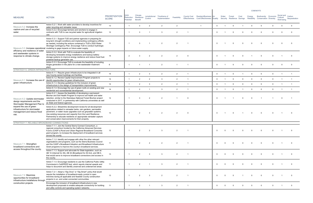|                                                                                                  |                                                                                                                                                                                                                                                                                                                                                                                               |                                       |                               |                                         |                           |                                |                |                    |                                                                   |                |          |          |                                     |          | <b>COBENEFITS</b>                                           |             |                                      |                          |
|--------------------------------------------------------------------------------------------------|-----------------------------------------------------------------------------------------------------------------------------------------------------------------------------------------------------------------------------------------------------------------------------------------------------------------------------------------------------------------------------------------------|---------------------------------------|-------------------------------|-----------------------------------------|---------------------------|--------------------------------|----------------|--------------------|-------------------------------------------------------------------|----------------|----------|----------|-------------------------------------|----------|-------------------------------------------------------------|-------------|--------------------------------------|--------------------------|
| <b>MEASURE</b>                                                                                   | <b>ACTION</b>                                                                                                                                                                                                                                                                                                                                                                                 | <b>PRIORITIZATION</b><br><b>SCORE</b> | GHG<br>Reduction<br>Potential | Climate<br>Resilience<br><b>Benefit</b> | Jurisdictional<br>Control | Timeframe of<br>Implementation | Feasibility    | <b>County Cost</b> | Resident/Business Air<br>Effectiveness Cost Effectiveness Quality |                | Water    | Forest   | Cost<br>Security Resilience Savings | Energy   | Biodiversity Economic<br>Reliability Conservation Diversity |             | Social and<br>Cultural<br>Well-being | Carbon<br>Sequestration  |
| Measure 5.2: Increase the                                                                        | Action 5.2.1. Work with water providers to develop incentives for<br>water recycling and rainwater reuse.                                                                                                                                                                                                                                                                                     | 13                                    | $\overline{\phantom{0}}$      | 3                                       | $\overline{2}$            | 2                              | $\overline{2}$ |                    |                                                                   | $\mathbf 0$    |          | $\Omega$ |                                     |          | $\Omega$                                                    |             | $\Omega$                             | $\Omega$                 |
| capture and use of recycled<br>water.                                                            | Action 5.2.2. Encourage farmers and ranchers to engage in<br>contracts with TUD to use recycled water for agricultural irrigation<br>use.                                                                                                                                                                                                                                                     | 12                                    | $\overline{1}$                | $\mathbf{3}$                            |                           |                                | 2              | $\overline{1}$     |                                                                   | $\Omega$       |          |          |                                     |          |                                                             |             |                                      | $\Omega$                 |
|                                                                                                  | Action 5.3.1. Support TUD and partner agencies in preparing for<br>long-term drought conditions and implementing contingency efforts<br>as needed, including the actions contained in TUD's 2020 Water<br>Shortage Contingency Plan. Encourage TUD to conduct hydrologic<br>Measure 5.3: Increase operational modeling to gage impacts on future water supply.                                | 11                                    | - 1                           | 3                                       |                           | 2                              | 2              | $\overline{1}$     |                                                                   | $\Omega$       |          | $\Omega$ | $\Omega$                            |          |                                                             |             |                                      |                          |
| efficiency and resilience of water<br>and wastewater systems in<br>response to climate change.   | Action 5.3.2. Work with TUD to evaluate the feasibility of<br>developing renewable energy installations and backup battery<br>storage systems to improve energy resilience and reduce fossil fuel-<br>powered backup generator use.                                                                                                                                                           | 14                                    | $\overline{2}$                | $\mathcal{B}$                           | $\overline{2}$            | $\overline{2}$                 | 2              | $\Omega$           |                                                                   | $\Omega$       |          | $\Omega$ | $\Omega$                            |          |                                                             |             |                                      | - 0                      |
|                                                                                                  | Action 5.3.3. Encourage TUD to evaluate the feasibility of including<br>biogas generation in the plans for a new wastewater treatment<br>plant.                                                                                                                                                                                                                                               | 8                                     |                               |                                         |                           | $\overline{2}$                 |                |                    |                                                                   | $\overline{0}$ |          |          |                                     |          |                                                             |             |                                      | $\Omega$                 |
| STRATEGY 6. GREEN INFRASTRUCTURE                                                                 |                                                                                                                                                                                                                                                                                                                                                                                               |                                       |                               |                                         |                           |                                |                |                    |                                                                   |                |          |          |                                     |          |                                                             |             |                                      |                          |
|                                                                                                  | Action 6.1.1. Require green infrastructure to be integrated in all<br>new County-owned buildings and facilities.                                                                                                                                                                                                                                                                              | 15                                    | $\overline{1}$                | 2                                       | $\mathbf{3}$              | 2                              | 2              | $\overline{1}$     |                                                                   | $\mathbf 0$    |          | $\Omega$ |                                     |          | $\Omega$                                                    | $\Omega$    |                                      |                          |
| Measure 6.1: Increase the use of                                                                 | Action 6.1.2. Review Capital Improvement Program projects to<br>identify opportunities for green infrastructure.                                                                                                                                                                                                                                                                              | 14                                    | $\overline{1}$                | $\overline{2}$                          | $\overline{2}$            | 3                              | $\overline{2}$ | $\overline{1}$     |                                                                   | $\overline{0}$ |          | $\Omega$ | $\Omega$                            |          | $\Omega$                                                    | $\Omega$    |                                      | $\overline{1}$           |
| green infrastructure.                                                                            | Action 6.1.3. Develop guidelines for the inclusion of green<br>infrastructure in the design of transportation improvements.                                                                                                                                                                                                                                                                   | 14                                    | $\overline{1}$                | 2                                       | -3                        | 2                              | 2              | $\overline{1}$     |                                                                   | $\Omega$       |          | $\Omega$ | $\Omega$                            |          | $\Omega$                                                    | $\Omega$    |                                      |                          |
|                                                                                                  | Action 6.1.4. Encourage the use of green roofs on existing and new<br>residential and nonresidential development.                                                                                                                                                                                                                                                                             | 14                                    | - 1                           | 2                                       |                           | $\mathbf{3}$                   | 2              | $\overline{1}$     |                                                                   | $\mathbf{0}$   |          | $\Omega$ |                                     | $\Omega$ | $\Omega$                                                    | $\Omega$    | $\overline{1}$                       | $\overline{\phantom{1}}$ |
| Measure 6.2: Update stormwater<br>design requirements and the<br>Stormwater Management Plan to   | Action 6.2.1. Assess the feasibility of developing a permanent<br>Biochar and Soil Health Program to improve soil health and water<br>retention, similar to the Stanislaus National Forest Biochar project<br>conducted in 2017, in partnership with California universities as well<br>as State and federal agencies.                                                                        | 14                                    | - 1                           | 3                                       | $\overline{2}$            | $\overline{2}$                 |                | $\Omega$           |                                                                   | $\Omega$       |          |          | <sup>0</sup>                        |          |                                                             |             | $\Omega$                             |                          |
| expand the use of green<br>infrastructure for stormwater<br>management and reduce flood<br>risk. | Action 6.2.2. Streamline development review for all development<br>applications related to rainwater tanks, rain gardens, permeable<br>pavement, or water reuse upgrades such as greywater systems.<br>Use existing resources and capacity from the Land Resilience<br>Partnership to educate residents on appropriate rainwater capture<br>and conservation improvements for their property. | 13                                    | $\overline{1}$                | 2                                       | -3                        | $\overline{2}$                 | $\overline{2}$ | $\Omega$           |                                                                   | $\overline{0}$ |          | $\Omega$ |                                     |          |                                                             |             |                                      |                          |
| STRATEGY 7. RELIABLE BROADBAND CONNECTIONS                                                       |                                                                                                                                                                                                                                                                                                                                                                                               |                                       |                               |                                         |                           |                                |                |                    |                                                                   |                |          |          |                                     |          |                                                             |             |                                      |                          |
|                                                                                                  | Action 7.1.1. Join the Central Sierra Connect Consortium, a<br>regional consortium funded by the California Advanced Services<br>Fund's (CASF's) Rural and Urban Regional Broadband Consortia<br>grant program, to increase the deployment of broadband services<br>across the county.                                                                                                        | 12                                    | $\overline{1}$                | $\overline{2}$                          | $\overline{2}$            | 3                              | $\overline{2}$ | $\overline{1}$     |                                                                   | $\overline{0}$ | $\Omega$ | $\Omega$ | 0                                   | $\Omega$ |                                                             |             |                                      | - 0                      |
| Measure 7.1: Strengthen<br>broadband connections and<br>access throughout the county.            | Action 7.1.2. Identify and engage with other the other relevant<br>organizations and programs, such as the Sierra Business Council<br>and the CASF's Broadband Adoption and Broadband Infrastructure<br>Grant programs to improve the county's broadband services.                                                                                                                            | 11                                    | $\overline{1}$                | 2                                       | 2                         | 2                              | 2              | $\overline{1}$     |                                                                   | $\Omega$       |          |          | $\Omega$                            |          |                                                             |             |                                      | - 0                      |
|                                                                                                  | Action 7.1.3. Support and advocate for State legislation, such as<br>AB 14 (Internet for All), AB 34 (Broadband for All Act), and SB 4,<br>that would serve to improve broadband connections and access in<br>the county.                                                                                                                                                                     | 13                                    | - 1                           | 2                                       | -3                        |                                | 2              |                    |                                                                   | $\Omega$       |          |          |                                     |          |                                                             |             |                                      |                          |
|                                                                                                  | Action 7.1.4. Encourage residents to use the California Public Utility<br>Commission's CalSPEED test, which reports internet speeds and<br>helps to document and identify unserved and underserved areas.                                                                                                                                                                                     | 11                                    | - 1                           | 2                                       |                           | 3                              | 2              | $\overline{1}$     |                                                                   | $\Omega$       |          |          |                                     |          |                                                             |             |                                      |                          |
| Measure 7.2: Maximize<br>opportunities for broadband<br>infrastructure installations through     | Action 7.2.1. Adopt a "Dig Once" or "Dig Smart" policy that would<br>require the installation of broadband-ready conduit in open<br>trenches during all applicable and feasible County construction<br>projects in un- and under-connected communities.                                                                                                                                       | 13                                    | - 1                           | 2                                       | $\mathbf{3}$              | $\overline{2}$                 | 2              | $\overline{1}$     |                                                                   | $\Omega$       |          |          |                                     |          |                                                             |             |                                      |                          |
| construction projects.                                                                           | Encourage the inclusion of broadband infrastructure in new<br>development proposals to enable adequate connectivity for building<br>and utility controls and operating system networks.                                                                                                                                                                                                       | 11                                    | $\overline{1}$                | 2                                       |                           | $\mathbf{3}$                   | $\overline{2}$ |                    |                                                                   | $\overline{0}$ | $\Omega$ | $\Omega$ | $\Omega$                            |          |                                                             | $\mathbf 0$ |                                      | - 0                      |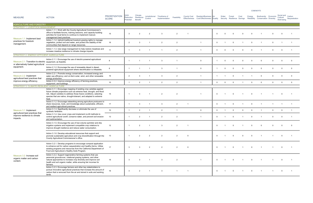|                                                                                                     |                                                                                                                                                                                                                                                                                                 |                                       |                               |                                         |                           |                                |                |                                     |                                                            |                |          |                                       |              |                | <b>COBENEFITS</b>                                  |             |                                      |                         |
|-----------------------------------------------------------------------------------------------------|-------------------------------------------------------------------------------------------------------------------------------------------------------------------------------------------------------------------------------------------------------------------------------------------------|---------------------------------------|-------------------------------|-----------------------------------------|---------------------------|--------------------------------|----------------|-------------------------------------|------------------------------------------------------------|----------------|----------|---------------------------------------|--------------|----------------|----------------------------------------------------|-------------|--------------------------------------|-------------------------|
| <b>MEASURE</b>                                                                                      | <b>ACTION</b>                                                                                                                                                                                                                                                                                   | <b>PRIORITIZATION</b><br><b>SCORE</b> | 3HG<br>Reduction<br>Potential | Climate<br>Resilience<br><b>Benefit</b> | Jurisdictional<br>Control | Timeframe of<br>Implementation | Feasibility    | County Cost<br><b>Effectiveness</b> | Resident/Business Air<br><b>Cost Effectiveness Quality</b> |                | Water    | Forest<br>Security Resilience Savings | Cost         | Energy         | Biodiversity<br>Reliability Conservation Diversity | Economic    | Social and<br>Cultural<br>Well-being | Carbon<br>Sequestration |
| AGRICULTURE AND FORESTRY<br><b>STRATEGY 1. LIVESTOCK MANAGEMENT</b>                                 |                                                                                                                                                                                                                                                                                                 |                                       |                               |                                         |                           |                                |                |                                     |                                                            |                |          |                                       |              |                |                                                    |             |                                      |                         |
| Measure 1.1: Implement best                                                                         | Action 1.1.1. Work with the County Agricultural Commissioner's<br>office to facilitate forums, training sessions, and capacity-building<br>activities for local farms to continue to implement manure<br>management best practices.                                                             | 15                                    | $\mathbf{3}$                  | $\mathcal{P}$                           | $\overline{2}$            | $\mathcal{A}$                  | $\mathcal{P}$  |                                     |                                                            | $\Omega$       |          | $\Omega$                              |              |                |                                                    |             |                                      |                         |
| practices for livestock<br>management.                                                              | Action 1.1.2. Uphold traditional livestock grazing rights to manage<br>vegetation, protect soil and water, and protect the stability of the<br>communities that depend on range resources                                                                                                       | 16                                    | 2                             | $\mathbf{3}$                            |                           | 2                              | $\mathcal{P}$  |                                     | $\overline{1}$                                             | $\Omega$       |          | $\Omega$                              |              |                |                                                    |             |                                      |                         |
|                                                                                                     | Action 1.1.3. Use range management to help restore meadows and<br>increase meadow resilience to climate change impacts.                                                                                                                                                                         | 11                                    | $\overline{\phantom{0}}$      | $\mathbf{3}$                            |                           |                                | 2              |                                     |                                                            | $\Omega$       |          | $\Omega$                              | $\Omega$     |                |                                                    |             | $\Omega$                             |                         |
| STRATEGY 2. ENERGY-EFFICIENT AGRICULTURE                                                            |                                                                                                                                                                                                                                                                                                 |                                       |                               |                                         |                           |                                |                |                                     |                                                            |                |          |                                       |              |                |                                                    |             |                                      |                         |
| Measure 2.1: Transition to electric equipment, as feasible.<br>or alternatively fueled agricultural | Action 2.1.1. Encourage the use of electric-powered agricultural                                                                                                                                                                                                                                | $\mathbf{8}$                          | $\overline{1}$                |                                         |                           | $\mathbf{B}$                   |                |                                     | $\Omega$                                                   |                |          | $\Omega$                              |              |                |                                                    |             |                                      |                         |
| equipment.                                                                                          | Action 2.1.2. Encourage the use of renewable diesel in diesel-<br>powered agricultural equipment where electrification is infeasible.                                                                                                                                                           | 8                                     | $\overline{1}$                |                                         |                           | $\mathcal{A}$                  |                |                                     | $\Omega$                                                   |                |          | $\Omega$                              |              |                |                                                    |             |                                      | - 0                     |
| Measure 2.2: Implement<br>agricultural best practices that                                          | Action 2.2.1. Promote energy conservation; increased energy and<br>water use efficiency; and on-farm solar, wind, and other renewable<br>energy production.                                                                                                                                     | 16                                    | $\overline{2}$                |                                         |                           | $\mathbf{B}$                   | $\mathcal{P}$  |                                     |                                                            |                |          | $\Omega$                              |              |                |                                                    |             |                                      |                         |
| improve energy efficiency.                                                                          | Action 2.2.2. Improve energy efficiency of farming practices,<br>equipment, and buildings.                                                                                                                                                                                                      | 10                                    | $\overline{1}$                | 2                                       |                           | 2                              | 2              |                                     |                                                            | $\overline{0}$ | $\Omega$ | $\Omega$                              |              |                | $\Omega$                                           | $\Omega$    | $\Omega$                             | $\Omega$                |
| STRATEGY 3. CLIMATE-RESILIENT AGRICULTURE                                                           |                                                                                                                                                                                                                                                                                                 |                                       |                               |                                         |                           |                                |                |                                     |                                                            |                |          |                                       |              |                |                                                    |             |                                      |                         |
|                                                                                                     | Action 3.1.1. Encourage mapping of existing crop varieties against<br>future climate projections such as extreme heat, drought, and flood<br>risk. Adjust varieties to address those future conditions, selecting<br>species that are native, drought-tolerant, and adapted to extreme<br>heat. | 15                                    | $\overline{1}$                |                                         |                           | $\mathcal{P}$                  | $\mathcal{P}$  |                                     |                                                            | $\Omega$       |          | $\Omega$                              |              |                |                                                    |             |                                      |                         |
|                                                                                                     | Action 3.1.2. Encourage networking among agriculture producers to<br>share resources, tools, and knowledge about sustainable, efficient,<br>and resilient agricultural practices.                                                                                                               | 17                                    | $\overline{1}$                | $\mathbf{3}$                            |                           | 3                              | $\overline{2}$ | $\overline{1}$                      |                                                            | $\Omega$       |          | $\Omega$                              |              | $\Omega$       |                                                    |             |                                      |                         |
| Measure 3.1: Implement                                                                              | Action 3.1.3. Significantly decrease or eliminate the use of<br>synthetic fertilizers.                                                                                                                                                                                                          | 10                                    | $\overline{1}$                | 2                                       |                           | $\overline{2}$                 | $\overline{1}$ |                                     | $\mathbf 0$                                                | $\mathbf 0$    |          | $\mathbf 0$                           | $\mathbf 0$  | $\Omega$       |                                                    | $\mathbf 0$ | 0                                    | $\overline{1}$          |
| agricultural best practices that<br>improve resilience to climate<br>impacts.                       | Action 3.1.4. Use cover crops and implement no-till methods to<br>control agricultural runoff, conserve water, and prevent soil erosion<br>and sedimentation.                                                                                                                                   | 13                                    |                               | $\mathcal{P}$                           |                           | $\overline{2}$                 | $\mathcal{P}$  |                                     |                                                            | $\mathbf 0$    |          | $\Omega$                              |              |                |                                                    |             | $\Omega$                             |                         |
|                                                                                                     | Action 3.1.5. Encourage the use of low-volume sprinkler and drip<br>irrigation systems and implement compatible crop rotations to<br>improve drought resilience and reduce water consumption.                                                                                                   | 12                                    |                               | $\overline{2}$                          | $\overline{1}$            | $\mathbf{3}$                   | 2              | $\overline{1}$                      |                                                            | $\Omega$       |          | $\mathbf 0$                           | $\mathbf{1}$ | $\mathbf 0$    |                                                    |             |                                      | $\overline{\mathbf{0}}$ |
|                                                                                                     | Action 3.1.6. Develop educational resources that support and<br>promote sustainable agriculture and crop diversification through the<br>County Agricultural Commissioner's office.                                                                                                              | 13                                    |                               | $\mathcal{P}$                           | $\overline{2}$            | 2                              |                | $\overline{0}$                      |                                                            | $\Omega$       |          |                                       |              |                |                                                    |             |                                      |                         |
|                                                                                                     | Action 3.2.1. Develop programs to encourage compost application<br>to enhance soil for carbon sequestration and healthy farms. Utilize<br>existing programs and resources from the California Department of<br>Food and Agriculture's Healthy Soils Program.                                    | 17                                    | -3                            |                                         | $\overline{2}$            | $\overline{2}$                 | 2              | $\overline{0}$                      |                                                            | $\Omega$       |          | $\Omega$                              |              | $\overline{0}$ |                                                    |             | $\Omega$                             |                         |
| Measure 3.2: Increase soil<br>organic matter and carbon<br>content.                                 | Action 3.2.2. Support regenerative farming systems that use<br>perennial groundcover, rotational grazing systems, and other<br>natural approaches to increase crop diversity and improve soil<br>health and soil organic matter, while ensuring fair incomes for<br>farmers.                    | 18                                    | 3                             |                                         |                           | $\mathbf{3}$                   | 2              |                                     | $\mathbf{1}$                                               | $\Omega$       |          | $\Omega$                              |              | $\Omega$       |                                                    |             |                                      |                         |
|                                                                                                     | Action 3.2.3. Encourage farmers and other key stakeholders to<br>pursue innovative agricultural practices that increase the amount of<br>carbon that is removed from the air and stored in soils and working<br>lands.                                                                          | 16                                    | $\mathbf{3}$                  | $\mathcal{P}$                           | $\overline{1}$            | $\mathbf{3}$                   | $\overline{1}$ | $\overline{1}$                      |                                                            | $\mathbf 0$    |          | $\Omega$                              |              |                |                                                    |             | $\Omega$                             |                         |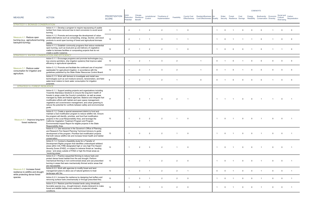|                                                                                                     |                                                                                                                                                                                                                                                                                                                                                                                                                                                                                                       |                                       |                               |                                         |                           |                                |                |                |                                                                               |              |          |          |             |                | <b>COBENEFITS</b>                                                                       |                                      |                         |
|-----------------------------------------------------------------------------------------------------|-------------------------------------------------------------------------------------------------------------------------------------------------------------------------------------------------------------------------------------------------------------------------------------------------------------------------------------------------------------------------------------------------------------------------------------------------------------------------------------------------------|---------------------------------------|-------------------------------|-----------------------------------------|---------------------------|--------------------------------|----------------|----------------|-------------------------------------------------------------------------------|--------------|----------|----------|-------------|----------------|-----------------------------------------------------------------------------------------|--------------------------------------|-------------------------|
| <b>MEASURE</b>                                                                                      | <b>ACTION</b>                                                                                                                                                                                                                                                                                                                                                                                                                                                                                         | <b>PRIORITIZATION</b><br><b>SCORE</b> | GHG<br>Reduction<br>Potential | Climate<br>Resilience<br><b>Benefit</b> | Jurisdictional<br>Control | Timeframe of<br>Implementation | Feasibility    |                | County Cost Resident/Business Air<br>Effectiveness Cost Effectiveness Quality |              | Water    | Forest   | Cost        | Energy         | Biodiversity Economic<br>Security Resilience Savings Reliability Conservation Diversity | Social and<br>Cultural<br>Well-being | Carbon<br>Sequestration |
| <b>STRATEGY 4. BIOMASS CONSERVATION</b>                                                             |                                                                                                                                                                                                                                                                                                                                                                                                                                                                                                       |                                       |                               |                                         |                           |                                |                |                |                                                                               |              |          |          |             |                |                                                                                         |                                      |                         |
|                                                                                                     | Action 4.1.1. Develop a program to require repurposing of usable<br>lumber from trees removed due to land conversion to avoid wood<br>burning.                                                                                                                                                                                                                                                                                                                                                        | 11                                    | 2                             |                                         | $\overline{2}$            | $\mathcal{P}$                  |                | $\Omega$       |                                                                               |              | $\Omega$ |          |             |                |                                                                                         |                                      |                         |
| Measure 4.1: Reduce open<br>burning (e.g., agricultural burning,<br>backyard burning).              | Action 4.1.2. Promote and encourage the development of value-<br>added alternatives such as composting, energy, biochar, and wood<br>products to avoid open burning of forest and agricultural biomass<br>wastes.                                                                                                                                                                                                                                                                                     | 14                                    | 2                             |                                         |                           |                                |                |                |                                                                               |              |          |          |             |                |                                                                                         |                                      |                         |
|                                                                                                     | Action 4.1.3. Establish community programs that reduce residential<br>open burning, such as local pick-up and delivery of vegetative<br>matter to biomass facilities or composting projects that do not<br>create a public nuisance.                                                                                                                                                                                                                                                                  | 12                                    | 2                             |                                         | 2                         | 2                              |                | $\overline{0}$ |                                                                               |              |          | $\Omega$ | $\Omega$    |                |                                                                                         |                                      | $\overline{0}$          |
| STRATEGY 5. WATER CONSERVATION AND EFFICIENCY                                                       |                                                                                                                                                                                                                                                                                                                                                                                                                                                                                                       |                                       |                               |                                         |                           |                                |                |                |                                                                               |              |          |          |             |                |                                                                                         |                                      |                         |
|                                                                                                     | Action 5.1.1. Encourage programs and promote technologies (e.g.,<br>low-volume sprinklers, drip irrigation systems) that improve water<br>efficiency in agricultural operations.                                                                                                                                                                                                                                                                                                                      | 12                                    |                               | 2                                       |                           | $\cdot$ 3                      | $\overline{2}$ |                |                                                                               | $\Omega$     |          | $\Omega$ |             |                |                                                                                         |                                      |                         |
| Measure 5.1: Reduce water<br>consumption for irrigation and<br>agriculture.                         | Action 5.1.2. Promote and facilitate the continued use of recycled<br>wastewater for agricultural irrigation, in accordance with the<br>quidelines published by the State Water Resources Control Board.                                                                                                                                                                                                                                                                                              | 12                                    |                               | $\mathcal{P}$                           |                           |                                |                |                |                                                                               | $\Omega$     |          |          |             |                |                                                                                         |                                      |                         |
|                                                                                                     | Action 5.1.3. Work with farmers to investigate and install new<br>technologies such as soil moisture sensors, tensiometers, and field-<br>water-level meters to track water consumption for irrigation<br>purposes.                                                                                                                                                                                                                                                                                   | q                                     |                               | 2                                       | $\overline{1}$            | 2                              |                |                | $\mathbf 0$                                                                   | $\Omega$     |          | $\Omega$ | $\Omega$    |                | $\Omega$                                                                                | $\Omega$                             | $\overline{\mathbf{0}}$ |
| <b>STRATEGY 6. FOREST RESILIENCE</b>                                                                |                                                                                                                                                                                                                                                                                                                                                                                                                                                                                                       |                                       |                               |                                         |                           |                                |                |                |                                                                               |              |          |          |             |                |                                                                                         |                                      |                         |
|                                                                                                     | Action 6.1.1. Support existing projects and organizations including<br>Yosemite Stanislaus Solutions to ensure the long-term health of<br>forests in areas under the County's jurisdiction, as well as areas<br>managed by State and federal agencies. Balance and integrate fuel<br>modification efforts with habitat and open space management,<br>vegetative soil cover/erosion management, and urban greening to<br>reduce the potential for conflicts between safety and environmental<br>goals. | 17                                    |                               | 3                                       |                           | $\cdot$ 3                      | 2              |                |                                                                               |              |          |          |             |                |                                                                                         |                                      |                         |
| Measure 6.1: Improve long-term<br>forest resilience.                                                | Action 6.1.2. Create a special assessment district to fund and<br>maintain a fuel modification program to reduce wildfire risk. Ensure<br>the program will identify, prioritize, and fund fuel modification<br>projects in the Local Responsibility Area, and leverage the<br>California Vegetation Treatment Program and Program<br>Environmental Impact Report for eligible projects in the State<br>Responsibility Area.                                                                           | 13                                    |                               |                                         | $\mathcal{P}$             |                                |                | $\overline{0}$ |                                                                               |              |          |          |             |                |                                                                                         |                                      |                         |
|                                                                                                     | Action 6.1.3. Use resources in the Governor's Office of Planning<br>and Research Fire Hazard Planning Technical Advisory to guide<br>development of the program. Prioritize fuel modification projects<br>that both reduce wildfire risk and increase forest health and habitat<br>conservation.                                                                                                                                                                                                      | 13                                    | $\overline{1}$                | $\mathbf{3}$                            | $\overline{2}$            | $\overline{2}$                 | $\overline{1}$ | $\overline{0}$ |                                                                               | $\mathbf{1}$ | $\Omega$ |          | $\mathbf 0$ | $\mathbf 0$    | $\overline{1}$                                                                          | $\Omega$                             |                         |
|                                                                                                     | Action 6.1.4. Conduct a feasibility study for a Transfer of<br>Development Rights program that identifies undeveloped wildland<br>areas within CAL FIRE-designated high or very high Fire Hazard<br>Severity Zones (FHSZ), or subject to extreme threat as "sending<br>areas," and areas outside of FHSZ or high fire threat areas as<br>"receiving areas."                                                                                                                                           | 13                                    | $\overline{1}$                | 2                                       | $\mathbf{3}$              | $\overline{2}$                 | $\overline{1}$ | $\overline{0}$ |                                                                               |              | $\Omega$ |          | $\Omega$    | $\overline{0}$ |                                                                                         | $\Omega$                             |                         |
|                                                                                                     | Action 6.2.1. Practice sequential thinning to reduce fuels and<br>protect dense forest habitat from fire and drought. Perform<br>mechanical thinning in non-controversial areas and use prescribed<br>burning in areas that were mechanically thinned and/or areas that<br>are inaccessible.                                                                                                                                                                                                          | 13                                    |                               | $\mathcal{A}$                           | $\overline{1}$            | 2                              | 2              | $\overline{0}$ |                                                                               |              | $\Omega$ |          | $\Omega$    | $\overline{0}$ |                                                                                         | $\Omega$                             |                         |
| Measure 6.2: Increase forest<br>resilience to wildfire and drought<br>while protecting dense forest | Action 6.2.2. Work with agencies to modify forest and land<br>management plans to allow use of natural ignitions to treat<br>landscape with fire.                                                                                                                                                                                                                                                                                                                                                     | 13                                    | $\overline{1}$                | $\mathcal{A}$                           |                           | 2                              | 2              |                |                                                                               | $\Omega$     |          |          |             |                |                                                                                         | $\Omega$                             |                         |
| species.                                                                                            | Action 6.2.3. Increase fire resilience by designing fuel buffers and<br>removing surface fuels (mechanically or through prescribed fire).                                                                                                                                                                                                                                                                                                                                                             | 13                                    | $\overline{1}$                | 3                                       | $\overline{1}$            | 2                              | $\overline{2}$ | $\overline{0}$ |                                                                               |              | $\Omega$ |          |             |                |                                                                                         | $\Omega$                             | $\overline{1}$          |
|                                                                                                     | Action 6.2.4. Restore post-fire forested lands using climatically<br>favorable species (e.g., drought-tolerant, shade-intolerant) to make<br>forest and wildlife habitat more resilient to projected climate<br>conditions.                                                                                                                                                                                                                                                                           | 14                                    | $\overline{1}$                | 3                                       | $\overline{1}$            | $\mathbf{3}$                   | 2              | $\overline{0}$ |                                                                               |              | $\Omega$ |          | $\Omega$    |                |                                                                                         |                                      |                         |